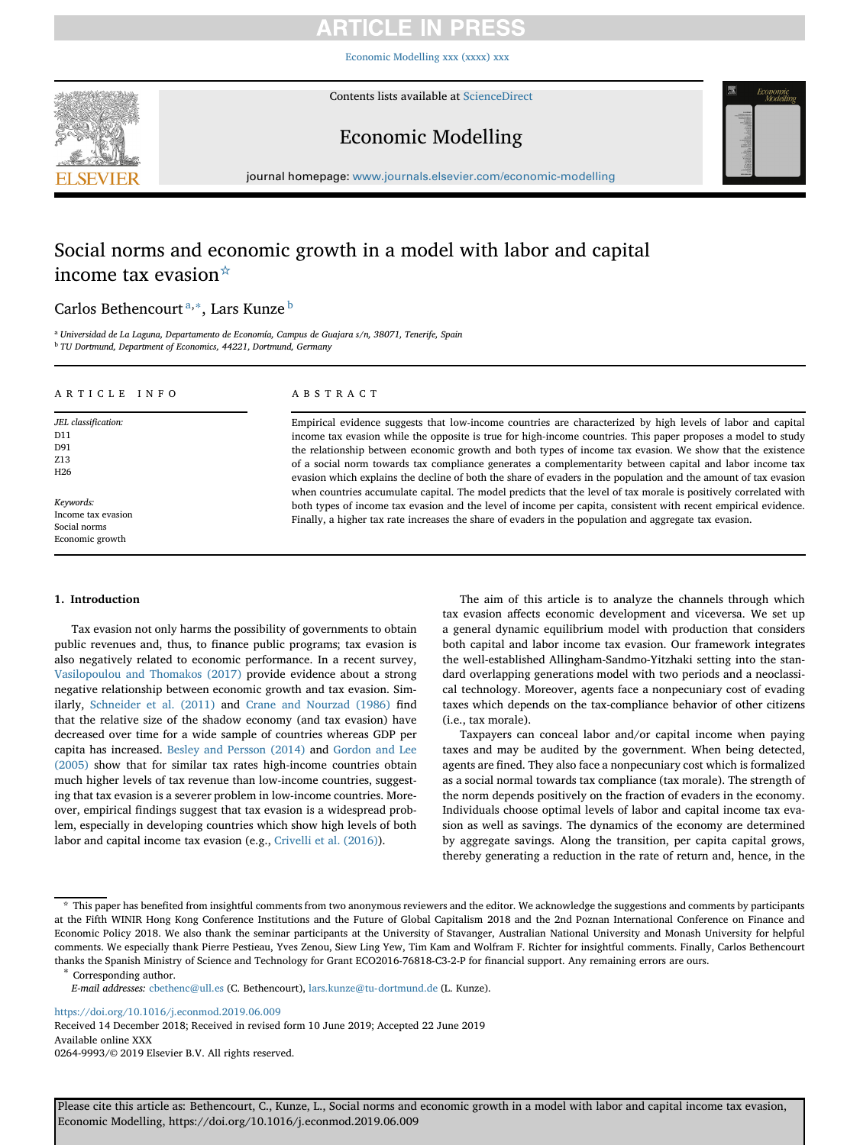[Economic Modelling xxx \(xxxx\) xxx](https://doi.org/10.1016/j.econmod.2019.06.009)



Contents lists available at [ScienceDirect](http://www.sciencedirect.com/science/journal/)

# Economic Modelling



journal homepage: [www.journals.elsevier.com/economic-modelling](https://www.journals.elsevier.com/economic-modelling)

# Social norms and economic growth in a model with labor and capital income tax evasion $\dot{A}$

## Carlos Bethencourt [a,](#page-0-1)[∗](#page-0-2), Lars Kunze [b](#page-0-3)

<span id="page-0-3"></span><span id="page-0-1"></span><sup>a</sup> *Universidad de La Laguna, Departamento de Economía, Campus de Guajara s/n, 38071, Tenerife, Spain* <sup>b</sup> *TU Dortmund, Department of Economics, 44221, Dortmund, Germany*

## ARTICLE INFO

*JEL classification:* D11 D91 Z13 H26

*Keywords:* Income tax evasion Social norms Economic growth

## ABSTRACT

Empirical evidence suggests that low-income countries are characterized by high levels of labor and capital income tax evasion while the opposite is true for high-income countries. This paper proposes a model to study the relationship between economic growth and both types of income tax evasion. We show that the existence of a social norm towards tax compliance generates a complementarity between capital and labor income tax evasion which explains the decline of both the share of evaders in the population and the amount of tax evasion when countries accumulate capital. The model predicts that the level of tax morale is positively correlated with both types of income tax evasion and the level of income per capita, consistent with recent empirical evidence. Finally, a higher tax rate increases the share of evaders in the population and aggregate tax evasion.

## **1. Introduction**

Tax evasion not only harms the possibility of governments to obtain public revenues and, thus, to finance public programs; tax evasion is also negatively related to economic performance. In a recent survey, [Vasilopoulou and Thomakos \(2017\)](#page-12-0) provide evidence about a strong negative relationship between economic growth and tax evasion. Similarly, [Schneider et al. \(2011\)](#page-12-1) and [Crane and Nourzad \(1986\)](#page-12-2) find that the relative size of the shadow economy (and tax evasion) have decreased over time for a wide sample of countries whereas GDP per capita has increased. [Besley and Persson \(2014\)](#page-12-3) and Gordon and Lee (2005) [show that for similar tax rates high-income countries obtain](#page-12-4) much higher levels of tax revenue than low-income countries, suggesting that tax evasion is a severer problem in low-income countries. Moreover, empirical findings suggest that tax evasion is a widespread problem, especially in developing countries which show high levels of both labor and capital income tax evasion (e.g., [Crivelli et al. \(2016\)\)](#page-12-5).

The aim of this article is to analyze the channels through which tax evasion affects economic development and viceversa. We set up a general dynamic equilibrium model with production that considers both capital and labor income tax evasion. Our framework integrates the well-established Allingham-Sandmo-Yitzhaki setting into the standard overlapping generations model with two periods and a neoclassical technology. Moreover, agents face a nonpecuniary cost of evading taxes which depends on the tax-compliance behavior of other citizens (i.e., tax morale).

Taxpayers can conceal labor and/or capital income when paying taxes and may be audited by the government. When being detected, agents are fined. They also face a nonpecuniary cost which is formalized as a social normal towards tax compliance (tax morale). The strength of the norm depends positively on the fraction of evaders in the economy. Individuals choose optimal levels of labor and capital income tax evasion as well as savings. The dynamics of the economy are determined by aggregate savings. Along the transition, per capita capital grows, thereby generating a reduction in the rate of return and, hence, in the

<span id="page-0-2"></span>

<https://doi.org/10.1016/j.econmod.2019.06.009>

Received 14 December 2018; Received in revised form 10 June 2019; Accepted 22 June 2019 Available online XXX 0264-9993/© 2019 Elsevier B.V. All rights reserved.

<span id="page-0-0"></span><sup>☆</sup> This paper has benefited from insightful comments from two anonymous reviewers and the editor. We acknowledge the suggestions and comments by participants at the Fifth WINIR Hong Kong Conference Institutions and the Future of Global Capitalism 2018 and the 2nd Poznan International Conference on Finance and Economic Policy 2018. We also thank the seminar participants at the University of Stavanger, Australian National University and Monash University for helpful comments. We especially thank Pierre Pestieau, Yves Zenou, Siew Ling Yew, Tim Kam and Wolfram F. Richter for insightful comments. Finally, Carlos Bethencourt thanks the Spanish Ministry of Science and Technology for Grant ECO2016-76818-C3-2-P for financial support. Any remaining errors are ours. ∗ Corresponding author.

*E-mail addresses:* [cbethenc@ull.es](mailto:cbethenc@ull.es) (C. Bethencourt), [lars.kunze@tu-dortmund.de](mailto:lars.kunze@tu-dortmund.de) (L. Kunze).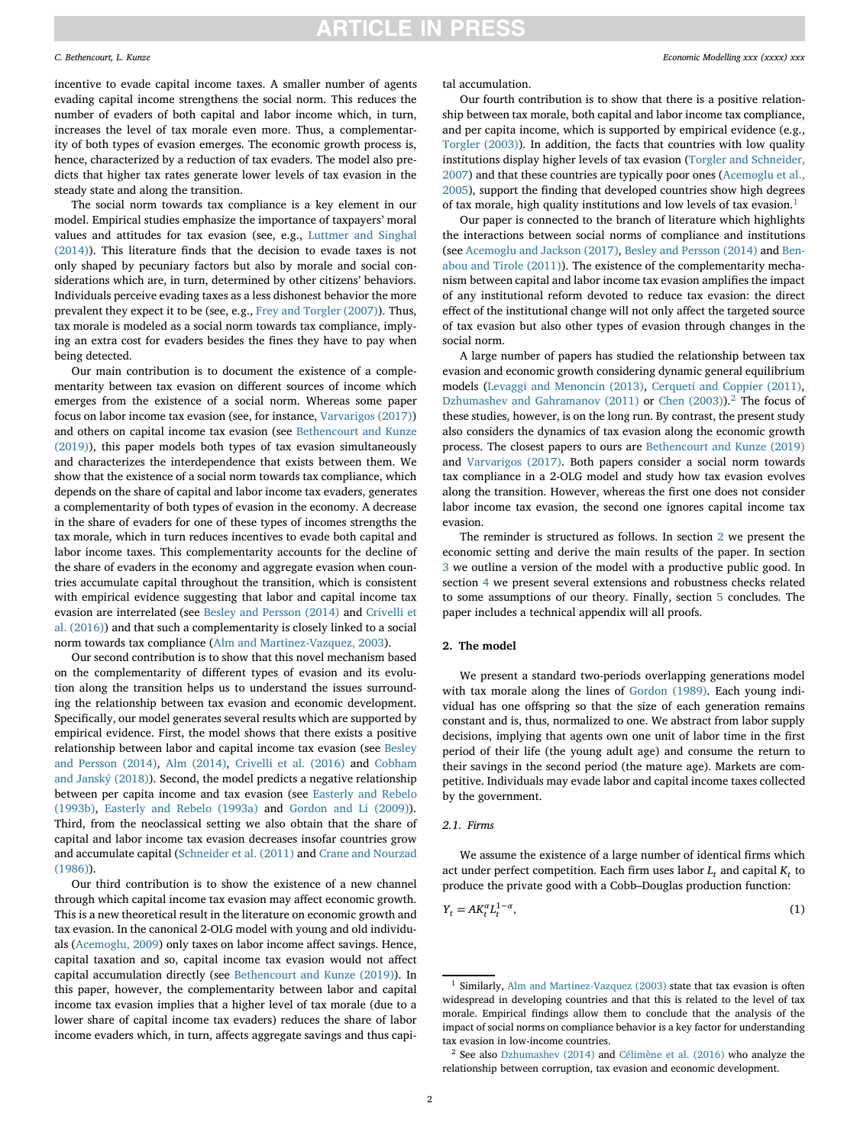incentive to evade capital income taxes. A smaller number of agents evading capital income strengthens the social norm. This reduces the number of evaders of both capital and labor income which, in turn, increases the level of tax morale even more. Thus, a complementarity of both types of evasion emerges. The economic growth process is, hence, characterized by a reduction of tax evaders. The model also predicts that higher tax rates generate lower levels of tax evasion in the steady state and along the transition.

The social norm towards tax compliance is a key element in our model. Empirical studies emphasize the importance of taxpayers' moral values and attitudes for tax evasion (see, e.g., Luttmer and Singhal [\(2014\)\). This literature finds that the decision to evade taxes is not](#page-12-6) only shaped by pecuniary factors but also by morale and social considerations which are, in turn, determined by other citizens' behaviors. Individuals perceive evading taxes as a less dishonest behavior the more prevalent they expect it to be (see, e.g., [Frey and Torgler \(2007\)\)](#page-12-7). Thus, tax morale is modeled as a social norm towards tax compliance, implying an extra cost for evaders besides the fines they have to pay when being detected.

Our main contribution is to document the existence of a complementarity between tax evasion on different sources of income which emerges from the existence of a social norm. Whereas some paper focus on labor income tax evasion (see, for instance, [Varvarigos \(2017\)\)](#page-12-8) and others on capital income tax evasion (see Bethencourt and Kunze [\(2019\)\), this paper models both types of tax evasion simultaneously](#page-12-9) and characterizes the interdependence that exists between them. We show that the existence of a social norm towards tax compliance, which depends on the share of capital and labor income tax evaders, generates a complementarity of both types of evasion in the economy. A decrease in the share of evaders for one of these types of incomes strengths the tax morale, which in turn reduces incentives to evade both capital and labor income taxes. This complementarity accounts for the decline of the share of evaders in the economy and aggregate evasion when countries accumulate capital throughout the transition, which is consistent with empirical evidence suggesting that labor and capital income tax evasion are interrelated (see [Besley and Persson \(2014\)](#page-12-3) and Crivelli et [al. \(2016\)\) and that such a complementarity is closely linked to a social](#page-12-5) norm towards tax compliance [\(Alm and Martinez-Vazquez, 2003\)](#page-12-10).

Our second contribution is to show that this novel mechanism based on the complementarity of different types of evasion and its evolution along the transition helps us to understand the issues surrounding the relationship between tax evasion and economic development. Specifically, our model generates several results which are supported by empirical evidence. First, the model shows that there exists a positive [relationship between labor and capital income tax evasion \(see](#page-12-3) Besley and Persson (2014), [Alm \(2014\),](#page-12-11) [Crivelli et al. \(2016\)](#page-12-5) and Cobham [and Janský \(2018\)\). Second, the model predicts a negative relationship](#page-12-12) [between per capita income and tax evasion \(see](#page-12-13) Easterly and Rebelo (1993b), [Easterly and Rebelo \(1993a\)](#page-12-14) and [Gordon and Li \(2009\)\)](#page-12-15). Third, from the neoclassical setting we also obtain that the share of capital and labor income tax evasion decreases insofar countries grow [and accumulate capital \(](#page-12-2)[Schneider et al. \(2011\)](#page-12-1) and Crane and Nourzad (1986)).

Our third contribution is to show the existence of a new channel through which capital income tax evasion may affect economic growth. This is a new theoretical result in the literature on economic growth and tax evasion. In the canonical 2-OLG model with young and old individuals [\(Acemoglu, 2009\)](#page-12-16) only taxes on labor income affect savings. Hence, capital taxation and so, capital income tax evasion would not affect capital accumulation directly (see [Bethencourt and Kunze \(2019\)\)](#page-12-9). In this paper, however, the complementarity between labor and capital income tax evasion implies that a higher level of tax morale (due to a lower share of capital income tax evaders) reduces the share of labor income evaders which, in turn, affects aggregate savings and thus capital accumulation.

Our fourth contribution is to show that there is a positive relationship between tax morale, both capital and labor income tax compliance, and per capita income, which is supported by empirical evidence (e.g., [Torgler \(2003\)\)](#page-12-17). In addition, the facts that countries with low quality [institutions display higher levels of tax evasion \(Torgler and Schneider,](#page-12-18) [2007\) and that these countries are typically poor ones \(Acemoglu et al.,](#page-12-19) 2005), support the finding that developed countries show high degrees of tax morale, high quality institutions and low levels of tax evasion.<sup>[1](#page-1-0)</sup>

Our paper is connected to the branch of literature which highlights the interactions between social norms of compliance and institutions (see [Acemoglu and Jackson \(2017\),](#page-12-20) [Besley and Persson \(2014\)](#page-12-3) and Ben[abou and Tirole \(2011\)\). The existence of the complementarity mecha](#page-12-21)nism between capital and labor income tax evasion amplifies the impact of any institutional reform devoted to reduce tax evasion: the direct effect of the institutional change will not only affect the targeted source of tax evasion but also other types of evasion through changes in the social norm.

A large number of papers has studied the relationship between tax evasion and economic growth considering dynamic general equilibrium models [\(Levaggi and Menoncin \(2013\),](#page-12-22) [Cerqueti and Coppier \(2011\),](#page-12-23) [Dzhumashev and Gahramanov \(2011\)](#page-12-24) or [Chen \(2003\)\)](#page-12-25).<sup>[2](#page-1-1)</sup> The focus of these studies, however, is on the long run. By contrast, the present study also considers the dynamics of tax evasion along the economic growth process. The closest papers to ours are [Bethencourt and Kunze \(2019\)](#page-12-9) and [Varvarigos \(2017\).](#page-12-8) Both papers consider a social norm towards tax compliance in a 2-OLG model and study how tax evasion evolves along the transition. However, whereas the first one does not consider labor income tax evasion, the second one ignores capital income tax evasion.

The reminder is structured as follows. In section [2](#page-1-2) we present the economic setting and derive the main results of the paper. In section [3](#page-7-0) we outline a version of the model with a productive public good. In section [4](#page-7-1) we present several extensions and robustness checks related to some assumptions of our theory. Finally, section [5](#page-8-0) concludes. The paper includes a technical appendix will all proofs.

### <span id="page-1-2"></span>**2. The model**

We present a standard two-periods overlapping generations model with tax morale along the lines of [Gordon \(1989\).](#page-12-26) Each young individual has one offspring so that the size of each generation remains constant and is, thus, normalized to one. We abstract from labor supply decisions, implying that agents own one unit of labor time in the first period of their life (the young adult age) and consume the return to their savings in the second period (the mature age). Markets are competitive. Individuals may evade labor and capital income taxes collected by the government.

### *2.1. Firms*

We assume the existence of a large number of identical firms which act under perfect competition. Each firm uses labor  $L_t$  and capital  $K_t$  to produce the private good with a Cobb–Douglas production function:

<span id="page-1-3"></span>
$$
Y_t = AK_t^{\alpha}L_t^{1-\alpha},\tag{1}
$$

<span id="page-1-0"></span><sup>&</sup>lt;sup>1</sup> Similarly, [Alm and Martinez-Vazquez \(2003\)](#page-12-10) state that tax evasion is often widespread in developing countries and that this is related to the level of tax morale. Empirical findings allow them to conclude that the analysis of the impact of social norms on compliance behavior is a key factor for understanding tax evasion in low-income countries.

<span id="page-1-1"></span><sup>2</sup> See also [Dzhumashev \(2014\)](#page-12-27) and [Célimène et al. \(2016\)](#page-12-28) who analyze the relationship between corruption, tax evasion and economic development.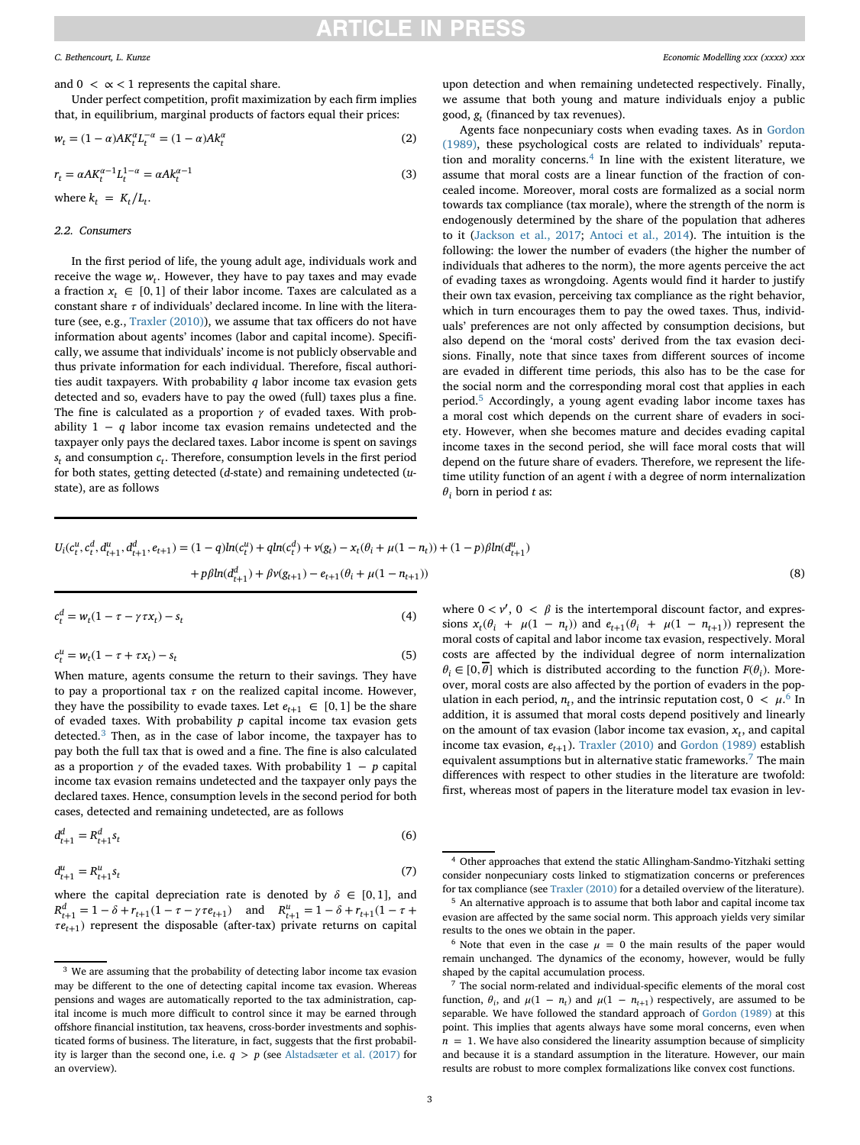and  $0 < \alpha < 1$  represents the capital share.

Under perfect competition, profit maximization by each firm implies that, in equilibrium, marginal products of factors equal their prices:

<span id="page-2-6"></span>
$$
w_t = (1 - \alpha)AK_t^{\alpha}L_t^{-\alpha} = (1 - \alpha)Ak_t^{\alpha}
$$
\n(2)

$$
r_t = \alpha A K_t^{\alpha - 1} L_t^{1 - \alpha} = \alpha A k_t^{\alpha - 1}
$$
\n(3)

where  $k_t = K_t/L_t$ .

### *2.2. Consumers*

In the first period of life, the young adult age, individuals work and receive the wage  $w_t$ . However, they have to pay taxes and may evade a fraction  $x_t \in [0,1]$  of their labor income. Taxes are calculated as a constant share  $\tau$  of individuals' declared income. In line with the literature (see, e.g., [Traxler \(2010\)\)](#page-12-29), we assume that tax officers do not have information about agents' incomes (labor and capital income). Specifically, we assume that individuals' income is not publicly observable and thus private information for each individual. Therefore, fiscal authorities audit taxpayers. With probability *q* labor income tax evasion gets detected and so, evaders have to pay the owed (full) taxes plus a fine. The fine is calculated as a proportion  $\gamma$  of evaded taxes. With probability 1 − *q* labor income tax evasion remains undetected and the taxpayer only pays the declared taxes. Labor income is spent on savings *st* and consumption *ct*. Therefore, consumption levels in the first period for both states, getting detected (*d*-state) and remaining undetected (*u*state), are as follows

upon detection and when remaining undetected respectively. Finally, we assume that both young and mature individuals enjoy a public good, *gt* (financed by tax revenues).

Agents face nonpecuniary costs when evading taxes. As in Gordon [\(1989\), these psychological costs are related to individuals' reputa](#page-12-26)tion and morality concerns. $4$  In line with the existent literature, we assume that moral costs are a linear function of the fraction of concealed income. Moreover, moral costs are formalized as a social norm towards tax compliance (tax morale), where the strength of the norm is endogenously determined by the share of the population that adheres to it [\(Jackson et al., 2017;](#page-12-31) [Antoci et al., 2014\)](#page-12-32). The intuition is the following: the lower the number of evaders (the higher the number of individuals that adheres to the norm), the more agents perceive the act of evading taxes as wrongdoing. Agents would find it harder to justify their own tax evasion, perceiving tax compliance as the right behavior, which in turn encourages them to pay the owed taxes. Thus, individuals' preferences are not only affected by consumption decisions, but also depend on the 'moral costs' derived from the tax evasion decisions. Finally, note that since taxes from different sources of income are evaded in different time periods, this also has to be the case for the social norm and the corresponding moral cost that applies in each period.[5](#page-2-2) Accordingly, a young agent evading labor income taxes has a moral cost which depends on the current share of evaders in society. However, when she becomes mature and decides evading capital income taxes in the second period, she will face moral costs that will depend on the future share of evaders. Therefore, we represent the lifetime utility function of an agent *i* with a degree of norm internalization  $\theta_i$  born in period *t* as:

<span id="page-2-5"></span>
$$
U_i(c_t^u, c_t^d, d_{t+1}^u, d_{t+1}^d, e_{t+1}) = (1 - q)ln(c_t^u) + qln(c_t^d) + \nu(g_t) - x_t(\theta_i + \mu(1 - n_t)) + (1 - p)\beta ln(d_{t+1}^u)
$$
  
+  $p\beta ln(d_{t+1}^d) + \beta \nu(g_{t+1}) - e_{t+1}(\theta_i + \mu(1 - n_{t+1}))$  (8)

$$
c_t^d = w_t (1 - \tau - \gamma \tau x_t) - s_t \tag{4}
$$

$$
c_t^u = w_t(1 - \tau + \tau x_t) - s_t \tag{5}
$$

When mature, agents consume the return to their savings. They have to pay a proportional tax  $\tau$  on the realized capital income. However, they have the possibility to evade taxes. Let  $e_{t+1} \in [0,1]$  be the share of evaded taxes. With probability *p* capital income tax evasion gets detected.[3](#page-2-0) Then, as in the case of labor income, the taxpayer has to pay both the full tax that is owed and a fine. The fine is also calculated as a proportion  $\gamma$  of the evaded taxes. With probability 1 – *p* capital income tax evasion remains undetected and the taxpayer only pays the declared taxes. Hence, consumption levels in the second period for both cases, detected and remaining undetected, are as follows

$$
d_{t+1}^d = R_{t+1}^d s_t \tag{6}
$$

$$
d_{t+1}^u = R_{t+1}^u s_t \tag{7}
$$

where the capital depreciation rate is denoted by  $\delta \in [0,1]$ , and  $R_{t+1}^d = 1 - \delta + r_{t+1}(1 - \tau - \gamma \tau e_{t+1})$  and  $R_{t+1}^u = 1 - \delta + r_{t+1}(1 - \tau + \gamma \tau e_t)$  $\tau e_{t+1}$ ) represent the disposable (after-tax) private returns on capital

where  $0 < v'$ ,  $0 < \beta$  is the intertemporal discount factor, and expressions  $x_t(\theta_i + \mu(1 - n_t))$  and  $e_{t+1}(\theta_i + \mu(1 - n_{t+1}))$  represent the moral costs of capital and labor income tax evasion, respectively. Moral costs are affected by the individual degree of norm internalization  $\theta_i \in [0, \theta]$  which is distributed according to the function  $F(\theta_i)$ . Moreover, moral costs are also affected by the portion of evaders in the population in each period,  $n_t$ , and the intrinsic reputation cost,  $0 < \mu$ .<sup>[6](#page-2-3)</sup> In addition, it is assumed that moral costs depend positively and linearly on the amount of tax evasion (labor income tax evasion,  $x_t$ , and capital income tax evasion,  $e_{t+1}$ ). [Traxler \(2010\)](#page-12-29) and [Gordon \(1989\)](#page-12-26) establish equivalent assumptions but in alternative static frameworks.<sup>[7](#page-2-4)</sup> The main differences with respect to other studies in the literature are twofold: first, whereas most of papers in the literature model tax evasion in lev-

<span id="page-2-0"></span> $^3$  We are assuming that the probability of detecting labor income tax evasion may be different to the one of detecting capital income tax evasion. Whereas pensions and wages are automatically reported to the tax administration, capital income is much more difficult to control since it may be earned through offshore financial institution, tax heavens, cross-border investments and sophisticated forms of business. The literature, in fact, suggests that the first probability is larger than the second one, i.e.  $q > p$  (see [Alstadsæter et al. \(2017\)](#page-12-30) for an overview).

<span id="page-2-2"></span><span id="page-2-1"></span><sup>4</sup> Other approaches that extend the static Allingham-Sandmo-Yitzhaki setting consider nonpecuniary costs linked to stigmatization concerns or preferences for tax compliance (see [Traxler \(2010\)](#page-12-29) for a detailed overview of the literature). <sup>5</sup> An alternative approach is to assume that both labor and capital income tax evasion are affected by the same social norm. This approach yields very similar results to the ones we obtain in the paper.

<span id="page-2-3"></span><sup>&</sup>lt;sup>6</sup> Note that even in the case  $\mu = 0$  the main results of the paper would remain unchanged. The dynamics of the economy, however, would be fully shaped by the capital accumulation process.

<span id="page-2-4"></span><sup>7</sup> The social norm-related and individual-specific elements of the moral cost function,  $\theta_i$ , and  $\mu(1 - n_t)$  and  $\mu(1 - n_{t+1})$  respectively, are assumed to be separable. We have followed the standard approach of [Gordon \(1989\)](#page-12-26) at this point. This implies that agents always have some moral concerns, even when  $n = 1$ . We have also considered the linearity assumption because of simplicity and because it is a standard assumption in the literature. However, our main results are robust to more complex formalizations like convex cost functions.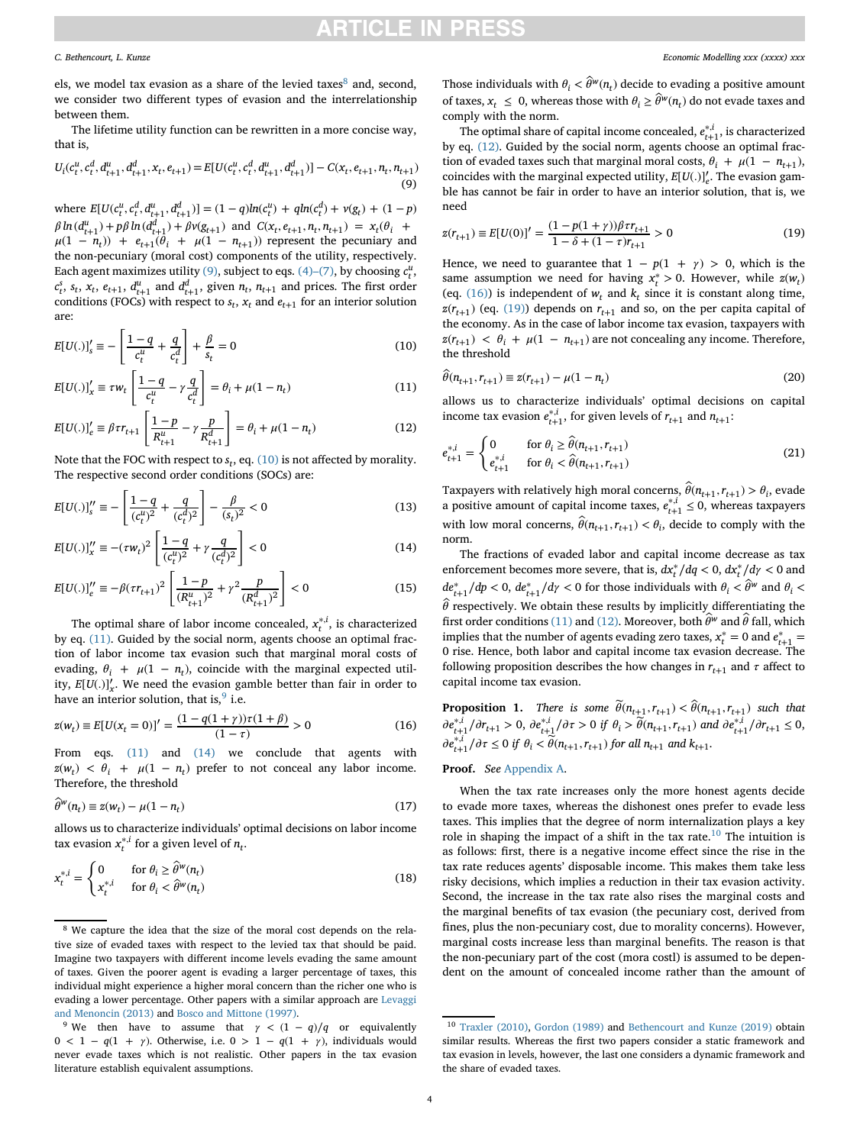els, we model tax evasion as a share of the levied taxes $\delta$  and, second, we consider two different types of evasion and the interrelationship between them.

The lifetime utility function can be rewritten in a more concise way, that is,

<span id="page-3-1"></span>
$$
U_i(c_t^u, c_t^d, d_{t+1}^u, d_{t+1}^d, x_t, e_{t+1}) = E[U(c_t^u, c_t^d, d_{t+1}^u, d_{t+1}^d)] - C(x_t, e_{t+1}, n_t, n_{t+1})
$$
\n(9)

where  $E[U(c_t^u, c_t^d, d_{t+1}^u, d_{t+1}^d)] = (1 - q)ln(c_t^u) + qln(c_t^d) + v(g_t) + (1 - p)$  $\beta \ln(d_{t+1}^u) + p\beta \ln(d_{t+1}^d) + \beta v(g_{t+1})$  and  $C(x_t, e_{t+1}, n_t, n_{t+1}) = x_t(\theta_t + \theta_t)$  $\mu(1 - n_t)$  +  $e_{t+1}(\theta_i + \mu(1 - n_{t+1}))$  represent the pecuniary and the non-pecuniary (moral cost) components of the utility, respectively. Each agent maximizes utility [\(9\),](#page-3-1) subject to eqs. [\(4\)–\(7\),](#page-2-5) by choosing  $c_t^u$ ,  $c_t^s$ ,  $s_t$ ,  $x_t$ ,  $e_{t+1}$ ,  $d_{t+1}^u$  and  $d_{t+1}^d$ , given  $n_t$ ,  $n_{t+1}$  and prices. The first order conditions (FOCs) with respect to  $s_t$ ,  $x_t$  and  $e_{t+1}$  for an interior solution are:

<span id="page-3-2"></span>
$$
E[U(.)]_s' = -\left[\frac{1-q}{c_t^u} + \frac{q}{c_t^d}\right] + \frac{\beta}{s_t} = 0
$$
\n(10)

<span id="page-3-3"></span>
$$
E[U(.)]_x' \equiv \tau w_t \left[ \frac{1-q}{c_t^u} - \gamma \frac{q}{c_t^d} \right] = \theta_i + \mu(1 - n_t)
$$
\n(11)

<span id="page-3-6"></span>
$$
E[U(.)]_e' \equiv \beta \tau r_{t+1} \left[ \frac{1-p}{R_{t+1}^u} - \gamma \frac{p}{R_{t+1}^d} \right] = \theta_i + \mu (1 - n_t)
$$
 (12)

Note that the FOC with respect to  $s_t$ , eq. [\(10\)](#page-3-2) is not affected by morality. The respective second order conditions (SOCs) are:

$$
E[U(.)]_s'' \equiv -\left[\frac{1-q}{(c_t^u)^2} + \frac{q}{(c_t^d)^2}\right] - \frac{\beta}{(s_t)^2} < 0\tag{13}
$$

<span id="page-3-5"></span>
$$
E[U(.)]_x'' \equiv -(\tau w_t)^2 \left[ \frac{1-q}{(c_t^u)^2} + \gamma \frac{q}{(c_t^d)^2} \right] < 0
$$
 (14)

$$
E[U(.)]_{e}^{"'} \equiv -\beta(\tau r_{t+1})^2 \left[ \frac{1-p}{(R_{t+1}^{u})^2} + \gamma^2 \frac{p}{(R_{t+1}^{d})^2} \right] < 0
$$
\n(15)

The optimal share of labor income concealed,  $x_t^{*,i}$ , is characterized by eq. [\(11\).](#page-3-3) Guided by the social norm, agents choose an optimal fraction of labor income tax evasion such that marginal moral costs of evading,  $\theta_i + \mu(1 - n_t)$ , coincide with the marginal expected utility,  $E[U(.)]'_x$ . We need the evasion gamble better than fair in order to have an interior solution, that is,  $9$  i.e.

$$
z(w_t) \equiv E[U(x_t = 0)]' = \frac{(1 - q(1 + \gamma))\tau(1 + \beta)}{(1 - \tau)} > 0
$$
\n(16)

From eqs. [\(11\)](#page-1-3) and [\(14\)](#page-3-5) we conclude that agents with  $z(w_t) < \theta_i + \mu(1 - n_t)$  prefer to not conceal any labor income. Therefore, the threshold

<span id="page-3-10"></span>
$$
\widehat{\theta}^w(n_t) \equiv z(w_t) - \mu(1 - n_t) \tag{17}
$$

allows us to characterize individuals' optimal decisions on labor income tax evasion  $x_t^{*,i}$  for a given level of  $n_t$ .

$$
x_t^{*,i} = \begin{cases} 0 & \text{for } \theta_i \ge \widehat{\theta}^w(n_t) \\ x_t^{*,i} & \text{for } \theta_i < \widehat{\theta}^w(n_t) \end{cases}
$$
(18)

Those individuals with  $\theta_i < \hat{\theta}^w(n_t)$  decide to evading a positive amount of taxes,  $x_t \leq 0$ , whereas those with  $\theta_i \geq \hat{\theta}^w(n_t)$  do not evade taxes and comply with the norm.

The optimal share of capital income concealed,  $e_{t+1}^{*,i}$ , is characterized by eq. [\(12\).](#page-3-6) Guided by the social norm, agents choose an optimal fraction of evaded taxes such that marginal moral costs,  $\theta_i + \mu(1 - n_{t+1}),$ coincides with the marginal expected utility,  $E[U(.)]_e'$ . The evasion gamble has cannot be fair in order to have an interior solution, that is, we need

<span id="page-3-8"></span>
$$
z(r_{t+1}) \equiv E[U(0)]' = \frac{(1 - p(1 + \gamma))\beta \tau r_{t+1}}{1 - \delta + (1 - \tau)r_{t+1}} > 0
$$
\n(19)

Hence, we need to guarantee that  $1 - p(1 + \gamma) > 0$ , which is the same assumption we need for having  $x_t^* > 0$ . However, while  $z(w_t)$ (eq.  $(16)$ ) is independent of  $w_t$  and  $k_t$  since it is constant along time,  $z(r_{t+1})$  (eq. [\(19\)\)](#page-3-8) depends on  $r_{t+1}$  and so, on the per capita capital of the economy. As in the case of labor income tax evasion, taxpayers with  $z(r_{t+1}) \leq \theta_i + \mu(1 - n_{t+1})$  are not concealing any income. Therefore, the threshold

<span id="page-3-12"></span>
$$
\hat{\theta}(n_{t+1}, r_{t+1}) \equiv z(r_{t+1}) - \mu(1 - n_t)
$$
\n(20)

allows us to characterize individuals' optimal decisions on capital income tax evasion  $e_{t+1}^{*,i}$ , for given levels of  $r_{t+1}$  and  $n_{t+1}$ :

$$
e_{t+1}^{*,i} = \begin{cases} 0 & \text{for } \theta_i \ge \hat{\theta}(n_{t+1}, r_{t+1}) \\ e_{t+1}^{*,i} & \text{for } \theta_i < \hat{\theta}(n_{t+1}, r_{t+1}) \end{cases}
$$
(21)

Taxpayers with relatively high moral concerns,  $\hat{\theta}(n_{t+1}, r_{t+1}) > \theta_i$ , evade a positive amount of capital income taxes,  $e_{t+1}^{*,i} \le 0$ , whereas taxpayers with low moral concerns,  $\hat{\theta}(n_{t+1}, r_{t+1}) < \theta_i$ , decide to comply with the norm.

The fractions of evaded labor and capital income decrease as tax enforcement becomes more severe, that is,  $dx_t^*/dq < 0$ ,  $dx_t^*/dq < 0$  and *de*<sup>∗</sup><sub>*t*+1</sub>/*dp* < 0, *de*<sup>∗</sup><sub>*t*+1</sub>/*d<sub><i>Y*</sub> < 0 for those individuals with *θ*<sub>*i*</sub> <  $\hat{\theta}^w$  and *θ*<sub>*i*</sub> <  $\hat{\theta}$  respectively. We obtain these results by implicitly differentiating the first order conditions [\(11\)](#page-3-3) and [\(12\).](#page-3-6) Moreover, both  $\widehat{\theta}^{w}$  and  $\widehat{\theta}$  fall, which implies that the number of agents evading zero taxes,  $x_t^* = 0$  and  $e_{t+1}^* =$ 0 rise. Hence, both labor and capital income tax evasion decrease. The following proposition describes the how changes in  $r_{t+1}$  and  $\tau$  affect to capital income tax evasion.

<span id="page-3-11"></span><span id="page-3-7"></span>**Proposition 1.** *There is some*  $\widetilde{\theta}(n_{t+1}, r_{t+1}) < \widehat{\theta}(n_{t+1}, r_{t+1})$  *such that*  $\partial e_{t+1}^{*,i}/\partial r_{t+1} > 0$ ,  $\partial e_{t+1}^{*,i}/\partial \tau > 0$  if  $\theta_i > \widetilde{\theta}(n_{t+1}, r_{t+1})$  and  $\partial e_{t+1}^{*,i}/\partial r_{t+1} \leq 0$ ,  $\partial e_{t+1}^{*,i}/\partial \tau \leq 0$  *if*  $\theta_i < \widetilde{\theta}(n_{t+1}, r_{t+1})$  *for all*  $n_{t+1}$  *and*  $k_{t+1}$ *.* 

### **Proof.** *See* [Appendix A.](#page-9-0)

When the tax rate increases only the more honest agents decide to evade more taxes, whereas the dishonest ones prefer to evade less taxes. This implies that the degree of norm internalization plays a key role in shaping the impact of a shift in the tax rate.<sup>[10](#page-3-9)</sup> The intuition is as follows: first, there is a negative income effect since the rise in the tax rate reduces agents' disposable income. This makes them take less risky decisions, which implies a reduction in their tax evasion activity. Second, the increase in the tax rate also rises the marginal costs and the marginal benefits of tax evasion (the pecuniary cost, derived from fines, plus the non-pecuniary cost, due to morality concerns). However, marginal costs increase less than marginal benefits. The reason is that the non-pecuniary part of the cost (mora costl) is assumed to be dependent on the amount of concealed income rather than the amount of

<span id="page-3-0"></span><sup>8</sup> We capture the idea that the size of the moral cost depends on the relative size of evaded taxes with respect to the levied tax that should be paid. Imagine two taxpayers with different income levels evading the same amount of taxes. Given the poorer agent is evading a larger percentage of taxes, this individual might experience a higher moral concern than the richer one who is [evading a lower percentage. Other papers with a similar approach are](#page-12-22) Levaggi and Menoncin (2013) and [Bosco and Mittone \(1997\).](#page-12-33)

<span id="page-3-4"></span><sup>&</sup>lt;sup>9</sup> We then have to assume that  $\gamma$  <  $(1 - q)/q$  or equivalently  $0 < 1 - q(1 + \gamma)$ . Otherwise, i.e.  $0 > 1 - q(1 + \gamma)$ , individuals would never evade taxes which is not realistic. Other papers in the tax evasion literature establish equivalent assumptions.

<span id="page-3-9"></span><sup>10</sup> [Traxler \(2010\),](#page-12-29) [Gordon \(1989\)](#page-12-26) and [Bethencourt and Kunze \(2019\)](#page-12-9) obtain similar results. Whereas the first two papers consider a static framework and tax evasion in levels, however, the last one considers a dynamic framework and the share of evaded taxes.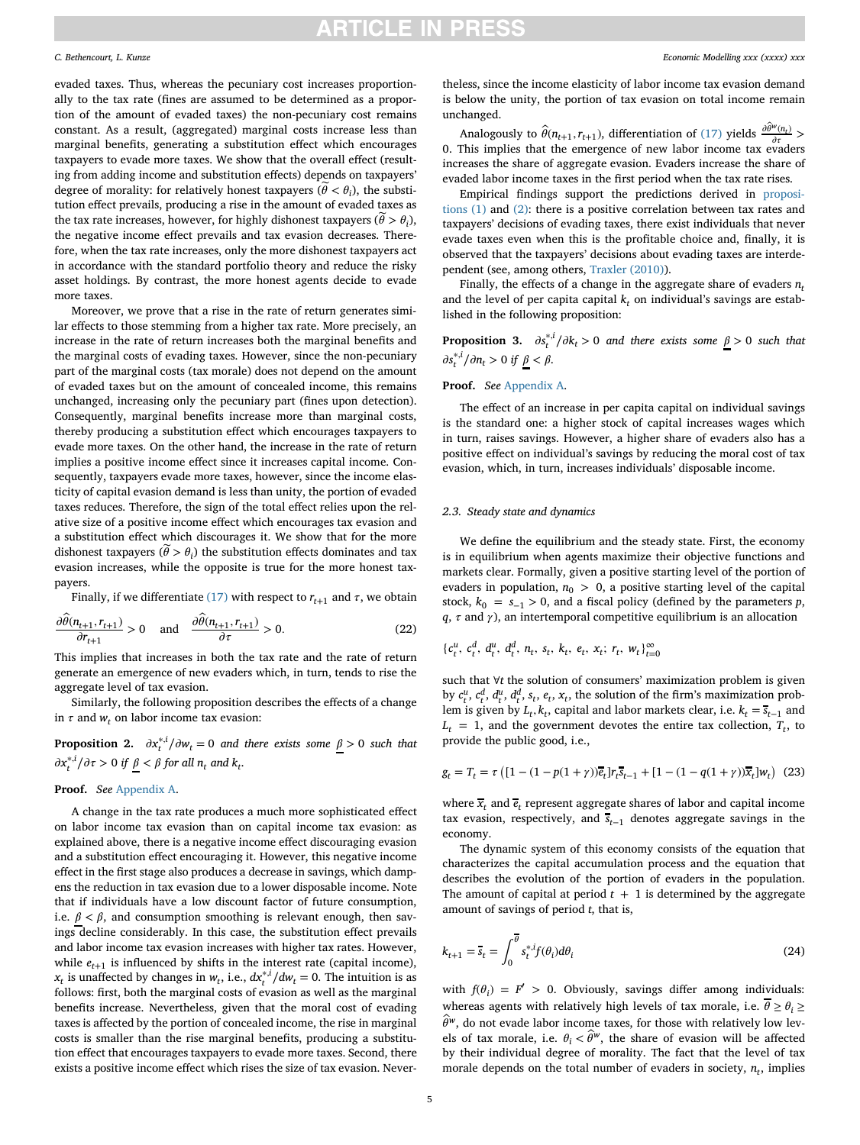evaded taxes. Thus, whereas the pecuniary cost increases proportionally to the tax rate (fines are assumed to be determined as a proportion of the amount of evaded taxes) the non-pecuniary cost remains constant. As a result, (aggregated) marginal costs increase less than marginal benefits, generating a substitution effect which encourages taxpayers to evade more taxes. We show that the overall effect (resulting from adding income and substitution effects) depends on taxpayers' degree of morality: for relatively honest taxpayers ( $\hat{\theta} < \theta_i$ ), the substitution effect prevails, producing a rise in the amount of evaded taxes as the tax rate increases, however, for highly dishonest taxpayers ( $\tilde{\theta} > \theta_i$ ), the negative income effect prevails and tax evasion decreases. Therefore, when the tax rate increases, only the more dishonest taxpayers act in accordance with the standard portfolio theory and reduce the risky asset holdings. By contrast, the more honest agents decide to evade more taxes.

Moreover, we prove that a rise in the rate of return generates similar effects to those stemming from a higher tax rate. More precisely, an increase in the rate of return increases both the marginal benefits and the marginal costs of evading taxes. However, since the non-pecuniary part of the marginal costs (tax morale) does not depend on the amount of evaded taxes but on the amount of concealed income, this remains unchanged, increasing only the pecuniary part (fines upon detection). Consequently, marginal benefits increase more than marginal costs, thereby producing a substitution effect which encourages taxpayers to evade more taxes. On the other hand, the increase in the rate of return implies a positive income effect since it increases capital income. Consequently, taxpayers evade more taxes, however, since the income elasticity of capital evasion demand is less than unity, the portion of evaded taxes reduces. Therefore, the sign of the total effect relies upon the relative size of a positive income effect which encourages tax evasion and a substitution effect which discourages it. We show that for the more dishonest taxpayers ( $\theta > \theta_i$ ) the substitution effects dominates and tax evasion increases, while the opposite is true for the more honest taxpayers.

Finally, if we differentiate [\(17\)](#page-3-10) with respect to  $r_{t+1}$  and  $\tau$ , we obtain

$$
\frac{\partial \hat{\theta}(n_{t+1}, r_{t+1})}{\partial r_{t+1}} > 0 \quad \text{and} \quad \frac{\partial \hat{\theta}(n_{t+1}, r_{t+1})}{\partial \tau} > 0. \tag{22}
$$

This implies that increases in both the tax rate and the rate of return generate an emergence of new evaders which, in turn, tends to rise the aggregate level of tax evasion.

Similarly, the following proposition describes the effects of a change in  $\tau$  and  $w_t$ , on labor income tax evasion:

<span id="page-4-3"></span>**Proposition 2.**  $\partial x_t^{*,i}/\partial w_t = 0$  and there exists some  $\underline{\beta} > 0$  such that  $\frac{\partial x_i^{*,i}}{\partial \tau} > 0$  *if* <u> $\beta$ </u> <  $\beta$  for all  $n_t$  and  $k_t$ .

### **Proof.** *See* [Appendix A.](#page-9-0)

A change in the tax rate produces a much more sophisticated effect on labor income tax evasion than on capital income tax evasion: as explained above, there is a negative income effect discouraging evasion and a substitution effect encouraging it. However, this negative income effect in the first stage also produces a decrease in savings, which dampens the reduction in tax evasion due to a lower disposable income. Note that if individuals have a low discount factor of future consumption, i.e.  $\beta < \beta$ , and consumption smoothing is relevant enough, then savings decline considerably. In this case, the substitution effect prevails and labor income tax evasion increases with higher tax rates. However, while  $e_{t+1}$  is influenced by shifts in the interest rate (capital income), *x*<sub>*t*</sub> is unaffected by changes in *w*<sub>*t*</sub>, i.e.,  $dx_t^{*i}/dw_t = 0$ . The intuition is as follows: first, both the marginal costs of evasion as well as the marginal benefits increase. Nevertheless, given that the moral cost of evading taxes is affected by the portion of concealed income, the rise in marginal costs is smaller than the rise marginal benefits, producing a substitution effect that encourages taxpayers to evade more taxes. Second, there exists a positive income effect which rises the size of tax evasion. Nevertheless, since the income elasticity of labor income tax evasion demand is below the unity, the portion of tax evasion on total income remain unchanged.

Analogously to  $\hat{\theta}(n_{t+1}, r_{t+1})$ , differentiation of [\(17\)](#page-3-10) yields  $\frac{\partial \hat{\theta}^w(n_t)}{\partial \tau}$  > 0. This implies that the emergence of new labor income tax evaders increases the share of aggregate evasion. Evaders increase the share of evaded labor income taxes in the first period when the tax rate rises.

[Empirical findings support the predictions derived in](#page-3-11) propositions (1) and [\(2\):](#page-3-11) there is a positive correlation between tax rates and taxpayers' decisions of evading taxes, there exist individuals that never evade taxes even when this is the profitable choice and, finally, it is observed that the taxpayers' decisions about evading taxes are interdependent (see, among others, [Traxler \(2010\)\)](#page-12-29).

Finally, the effects of a change in the aggregate share of evaders *nt* and the level of per capita capital  $k_t$  on individual's savings are established in the following proposition:

<span id="page-4-0"></span>**Proposition 3.**  $\partial s_t^{*,i}/\partial k_t > 0$  and there exists some  $\underline{\beta} > 0$  such that  $\frac{\partial s_t^{*,i}}{\partial n_t} > 0$  if  $\underline{\beta} < \beta$ .

### **Proof.** *See* [Appendix A.](#page-9-0)

The effect of an increase in per capita capital on individual savings is the standard one: a higher stock of capital increases wages which in turn, raises savings. However, a higher share of evaders also has a positive effect on individual's savings by reducing the moral cost of tax evasion, which, in turn, increases individuals' disposable income.

### *2.3. Steady state and dynamics*

We define the equilibrium and the steady state. First, the economy is in equilibrium when agents maximize their objective functions and markets clear. Formally, given a positive starting level of the portion of evaders in population,  $n_0 > 0$ , a positive starting level of the capital stock,  $k_0 = s_{-1} > 0$ , and a fiscal policy (defined by the parameters *p*,  $q$ ,  $\tau$  and  $\gamma$ ), an intertemporal competitive equilibrium is an allocation

<span id="page-4-2"></span>
$$
\{c_t^u, c_t^d, d_t^u, d_t^d, n_t, s_t, k_t, e_t, x_t; r_t, w_t\}_{t=0}^{\infty}
$$

such that ∀*t* the solution of consumers' maximization problem is given by  $c_t^u$ ,  $c_t^d$ ,  $d_t^u$ ,  $d_t^d$ ,  $s_t$ ,  $e_t$ ,  $x_t$ , the solution of the firm's maximization problem is given by  $L_t$ ,  $k_t$ , capital and labor markets clear, i.e.  $k_t = s_{t-1}$  and  $L_t = 1$ , and the government devotes the entire tax collection,  $T_t$ , to provide the public good, i.e.,

<span id="page-4-4"></span>
$$
g_t = T_t = \tau \left( [1 - (1 - p(1 + \gamma))\overline{e}_t] r_t \overline{s}_{t-1} + [1 - (1 - q(1 + \gamma))\overline{x}_t] w_t \right) (23)
$$

where  $\bar{x}_t$  and  $\bar{e}_t$  represent aggregate shares of labor and capital income tax evasion, respectively, and  $\overline{s}_{t-1}$  denotes aggregate savings in the economy.

The dynamic system of this economy consists of the equation that characterizes the capital accumulation process and the equation that describes the evolution of the portion of evaders in the population. The amount of capital at period  $t + 1$  is determined by the aggregate amount of savings of period *t*, that is,

<span id="page-4-1"></span>
$$
k_{t+1} = \overline{s}_t = \int_0^{\overline{\theta}} s_t^{*,i} f(\theta_i) d\theta_i
$$
 (24)

with  $f(\theta_i) = F' > 0$ . Obviously, savings differ among individuals: whereas agents with relatively high levels of tax morale, i.e.  $\theta \geq \theta_i \geq$  $\hat{\theta}^w$ , do not evade labor income taxes, for those with relatively low levels of tax morale, i.e.  $\theta_i < \hat{\theta}^w$ , the share of evasion will be affected by their individual degree of morality. The fact that the level of tax morale depends on the total number of evaders in society,  $n_t$ , implies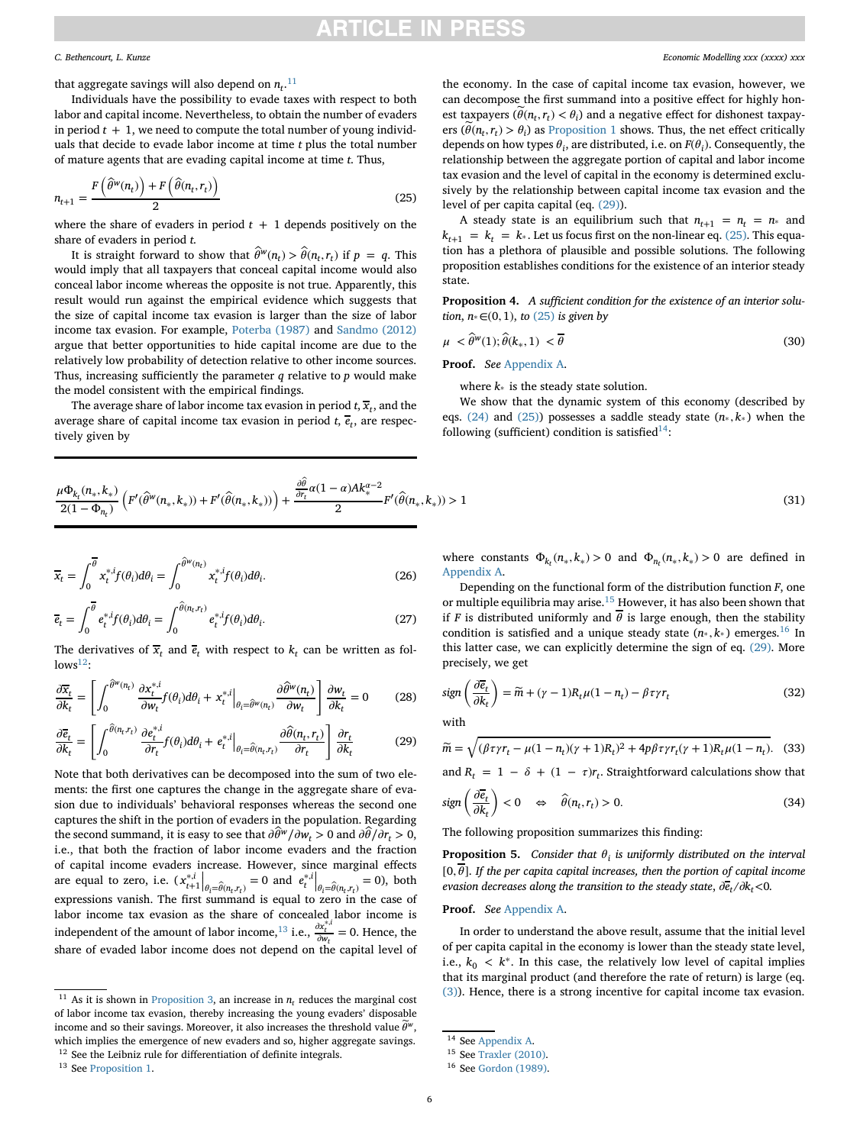## :TICI F IN PRFS

that aggregate savings will also depend on  $n_t$ .<sup>[11](#page-5-0)</sup>

Individuals have the possibility to evade taxes with respect to both labor and capital income. Nevertheless, to obtain the number of evaders in period  $t + 1$ , we need to compute the total number of young individuals that decide to evade labor income at time *t* plus the total number of mature agents that are evading capital income at time *t*. Thus,

$$
n_{t+1} = \frac{F(\hat{\theta}^w(n_t)) + F(\hat{\theta}(n_t, r_t))}{2}
$$
\n(25)

where the share of evaders in period  $t + 1$  depends positively on the share of evaders in period *t*.

It is straight forward to show that  $\hat{\theta}^w(n_t) > \hat{\theta}(n_t, r_t)$  if  $p = q$ . This would imply that all taxpayers that conceal capital income would also conceal labor income whereas the opposite is not true. Apparently, this result would run against the empirical evidence which suggests that the size of capital income tax evasion is larger than the size of labor income tax evasion. For example, [Poterba \(1987\)](#page-12-34) and [Sandmo \(2012\)](#page-12-35) argue that better opportunities to hide capital income are due to the relatively low probability of detection relative to other income sources. Thus, increasing sufficiently the parameter *q* relative to *p* would make the model consistent with the empirical findings.

The average share of labor income tax evasion in period  $t$ ,  $\overline{x}_t$ , and the average share of capital income tax evasion in period  $t$ ,  $\overline{e}_t$ , are respectively given by

<span id="page-5-9"></span>
$$
\frac{\mu \Phi_{k_t}(n_*,k_*)}{2(1-\Phi_{n_t})} \left( F'(\hat{\theta}^w(n_*,k_*)) + F'(\hat{\theta}(n_*,k_*)) \right) + \frac{\frac{\partial \hat{\theta}}{\partial r_t} \alpha (1-\alpha) A k_*^{\alpha-2}}{2} F'(\hat{\theta}(n_*,k_*)) > 1
$$
\n(31)

$$
\overline{x}_t = \int_0^{\overline{\theta}} x_t^{*,i} f(\theta_i) d\theta_i = \int_0^{\widehat{\theta}^w(n_t)} x_t^{*,i} f(\theta_i) d\theta_i.
$$
 (26)

<span id="page-5-10"></span>
$$
\overline{e}_t = \int_0^{\overline{\theta}} e_t^{*,i} f(\theta_i) d\theta_i = \int_0^{\widehat{\theta}(n_t, r_t)} e_t^{*,i} f(\theta_i) d\theta_i.
$$
 (27)

The derivatives of  $\overline{x}_t$  and  $\overline{e}_t$  with respect to  $k_t$  can be written as fol $lows<sup>12</sup>$ :

$$
\frac{\partial \overline{x}_t}{\partial k_t} = \left[ \int_0^{\widehat{\theta}^w(n_t)} \frac{\partial x_t^{*,i}}{\partial w_t} f(\theta_i) d\theta_i + x_t^{*,i} \Big|_{\theta_t = \widehat{\theta}^w(n_t)} \frac{\partial \widehat{\theta}^w(n_t)}{\partial w_t} \right] \frac{\partial w_t}{\partial k_t} = 0 \tag{28}
$$

<span id="page-5-3"></span>
$$
\frac{\partial \overline{e}_t}{\partial k_t} = \left[ \int_0^{\widehat{\theta}(n_t, r_t)} \frac{\partial e_t^{*,i}}{\partial r_t} f(\theta_i) d\theta_i + e_t^{*,i} \Big|_{\theta_t = \widehat{\theta}(n_t, r_t)} \frac{\partial \widehat{\theta}(n_t, r_t)}{\partial r_t} \right] \frac{\partial r_t}{\partial k_t}
$$
(29)

Note that both derivatives can be decomposed into the sum of two elements: the first one captures the change in the aggregate share of evasion due to individuals' behavioral responses whereas the second one captures the shift in the portion of evaders in the population. Regarding the second summand, it is easy to see that  $\frac{\partial \hat{\theta}^w}{\partial w_t} > 0$  and  $\frac{\partial \hat{\theta}}{\partial r_t} > 0$ , i.e., that both the fraction of labor income evaders and the fraction of capital income evaders increase. However, since marginal effects are equal to zero, i.e.  $(x_{t+1}^{*i}|_{\theta_i = \hat{\theta}(n_t, r_t)} = 0$  and  $e_t^{*i}|_{\theta_i = \hat{\theta}(n_t, r_t)} = 0$ , both expressions vanish. The first summand is equal to zero in the case of expressions vanish. The first summand is equal to zero in the case of labor income tax evasion as the share of concealed labor income is independent of the amount of labor income,<sup>[13](#page-5-2)</sup> i.e.,  $\frac{\partial x_t^{*,i}}{\partial w_t} = 0$ . Hence, the share of evaded labor income does not depend on the capital level of

<span id="page-5-0"></span><sup>11</sup> As it is shown in [Proposition 3,](#page-4-0) an increase in  $n_t$  reduces the marginal cost of labor income tax evasion, thereby increasing the young evaders' disposable income and so their savings. Moreover, it also increases the threshold value  $\widetilde{\theta}^w$ , which implies the emergence of new evaders and so, higher aggregate savings. <sup>12</sup> See the Leibniz rule for differentiation of definite integrals.

<span id="page-5-2"></span><span id="page-5-1"></span><sup>13</sup> See [Proposition 1.](#page-3-11)

*C. Bethencourt, L. Kunze Economic Modelling xxx (xxxx) xxx*

the economy. In the case of capital income tax evasion, however, we can decompose the first summand into a positive effect for highly honest taxpayers  $(\widetilde{\theta}(n_t, r_t) < \theta_i)$  and a negative effect for dishonest taxpayers  $(\widetilde{\theta}(n_t, r_t) > \theta_i)$  as [Proposition 1](#page-3-11) shows. Thus, the net effect critically depends on how types  $\theta_i$ , are distributed, i.e. on  $F(\theta_i)$ . Consequently, the relationship between the aggregate portion of capital and labor income tax evasion and the level of capital in the economy is determined exclusively by the relationship between capital income tax evasion and the level of per capita capital (eq. [\(29\)\)](#page-5-3).

<span id="page-5-4"></span>A steady state is an equilibrium such that  $n_{t+1} = n_t = n_*$  and  $k_{t+1} = k_t = k_*$ . Let us focus first on the non-linear eq. [\(25\).](#page-5-4) This equation has a plethora of plausible and possible solutions. The following proposition establishes conditions for the existence of an interior steady state.

**Proposition 4.** *A sufficient condition for the existence of an interior solution*, *n*∗∈(0*,* 1), *to* [\(25\)](#page-5-4) *is given by*

$$
\mu \leq \hat{\theta}^w(1); \hat{\theta}(k_*, 1) < \overline{\theta} \tag{30}
$$

**Proof.** *See* [Appendix A.](#page-9-0)

<span id="page-5-12"></span><span id="page-5-11"></span>where *k*<sup>∗</sup> is the steady state solution.

We show that the dynamic system of this economy (described by eqs. [\(24\)](#page-4-1) and [\(25\)\)](#page-5-4) possesses a saddle steady state (*n*<sup>∗</sup> *, k*<sup>∗</sup> ) when the following (sufficient) condition is satisfied<sup>14</sup>:

where constants 
$$
\Phi_{k_t}(n_*, k_*) > 0
$$
 and  $\Phi_{n_t}(n_*, k_*) > 0$  are defined in Appendix A.

Depending on the functional form of the distribution function *F*, one or multiple equilibria may arise.[15](#page-5-6) However, it has also been shown that if *F* is distributed uniformly and  $\overline{\theta}$  is large enough, then the stability condition is satisfied and a unique steady state  $(n_*, k_*)$  emerges.<sup>[16](#page-5-7)</sup> In this latter case, we can explicitly determine the sign of eq. [\(29\).](#page-5-3) More precisely, we get

<span id="page-5-13"></span>
$$
sign\left(\frac{\partial \overline{e}_t}{\partial k_t}\right) = \widetilde{m} + (\gamma - 1)R_t\mu(1 - n_t) - \beta\tau\gamma r_t
$$
\n(32)

with

$$
\widetilde{m} = \sqrt{(\beta \tau \gamma r_t - \mu (1 - n_t)(\gamma + 1)R_t)^2 + 4p\beta \tau \gamma r_t(\gamma + 1)R_t \mu (1 - n_t)}.
$$
 (33)

and  $R_t = 1 - \delta + (1 - \tau)r_t$ . Straightforward calculations show that

$$
sign\left(\frac{\partial \overline{e}_t}{\partial k_t}\right) < 0 \quad \Leftrightarrow \quad \widehat{\theta}(n_t, r_t) > 0. \tag{34}
$$

The following proposition summarizes this finding:

<span id="page-5-8"></span>**Proposition 5.** *Consider that*  $\theta_i$  *is uniformly distributed on the interval*  $[0,\overline{\theta}]$ . If the per capita capital increases, then the portion of capital income *evasion decreases along the transition to the steady state,*  $\frac{\partial \overline{e}_t}{\partial k_t}$  *<0.* 

## **Proof.** *See* [Appendix A.](#page-9-0)

In order to understand the above result, assume that the initial level of per capita capital in the economy is lower than the steady state level, i.e.,  $k_0 \leq k^*$ . In this case, the relatively low level of capital implies that its marginal product (and therefore the rate of return) is large (eq. [\(3\)\)](#page-2-6). Hence, there is a strong incentive for capital income tax evasion.

<span id="page-5-5"></span><sup>14</sup> See [Appendix A.](#page-9-0)

<span id="page-5-6"></span><sup>15</sup> See [Traxler \(2010\).](#page-12-29)

<span id="page-5-7"></span><sup>16</sup> See [Gordon \(1989\).](#page-12-26)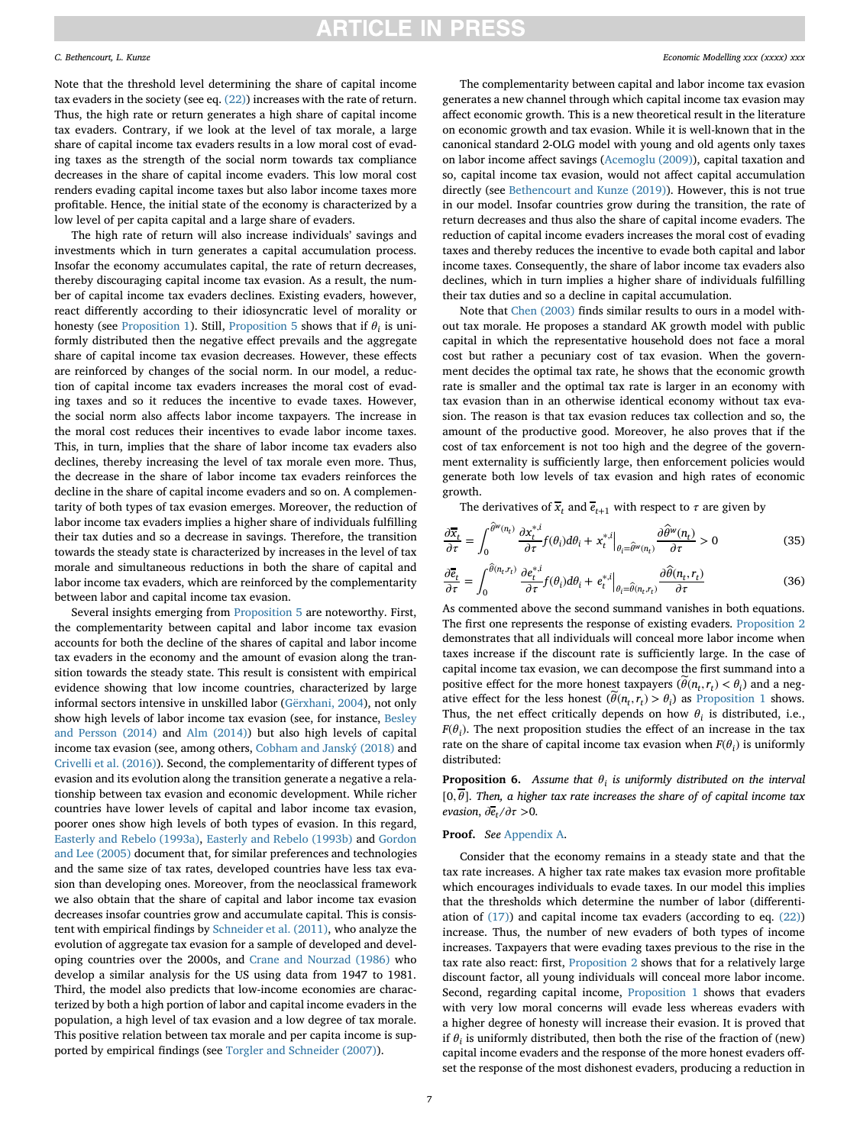Note that the threshold level determining the share of capital income tax evaders in the society (see eq. [\(22\)\)](#page-4-2) increases with the rate of return. Thus, the high rate or return generates a high share of capital income tax evaders. Contrary, if we look at the level of tax morale, a large share of capital income tax evaders results in a low moral cost of evading taxes as the strength of the social norm towards tax compliance decreases in the share of capital income evaders. This low moral cost renders evading capital income taxes but also labor income taxes more profitable. Hence, the initial state of the economy is characterized by a low level of per capita capital and a large share of evaders.

The high rate of return will also increase individuals' savings and investments which in turn generates a capital accumulation process. Insofar the economy accumulates capital, the rate of return decreases, thereby discouraging capital income tax evasion. As a result, the number of capital income tax evaders declines. Existing evaders, however, react differently according to their idiosyncratic level of morality or honesty (see [Proposition 1\)](#page-3-11). Still, [Proposition 5](#page-5-8) shows that if  $\theta_i$  is uniformly distributed then the negative effect prevails and the aggregate share of capital income tax evasion decreases. However, these effects are reinforced by changes of the social norm. In our model, a reduction of capital income tax evaders increases the moral cost of evading taxes and so it reduces the incentive to evade taxes. However, the social norm also affects labor income taxpayers. The increase in the moral cost reduces their incentives to evade labor income taxes. This, in turn, implies that the share of labor income tax evaders also declines, thereby increasing the level of tax morale even more. Thus, the decrease in the share of labor income tax evaders reinforces the decline in the share of capital income evaders and so on. A complementarity of both types of tax evasion emerges. Moreover, the reduction of labor income tax evaders implies a higher share of individuals fulfilling their tax duties and so a decrease in savings. Therefore, the transition towards the steady state is characterized by increases in the level of tax morale and simultaneous reductions in both the share of capital and labor income tax evaders, which are reinforced by the complementarity between labor and capital income tax evasion.

Several insights emerging from [Proposition 5](#page-5-8) are noteworthy. First, the complementarity between capital and labor income tax evasion accounts for both the decline of the shares of capital and labor income tax evaders in the economy and the amount of evasion along the transition towards the steady state. This result is consistent with empirical evidence showing that low income countries, characterized by large informal sectors intensive in unskilled labor [\(Gërxhani, 2004\)](#page-12-36), not only [show high levels of labor income tax evasion \(see, for instance,](#page-12-3) Besley and Persson (2014) and [Alm \(2014\)\)](#page-12-11) but also high levels of capital income tax evasion (see, among others, [Cobham and Janský \(2018\)](#page-12-12) and [Crivelli et al. \(2016\)\)](#page-12-5). Second, the complementarity of different types of evasion and its evolution along the transition generate a negative a relationship between tax evasion and economic development. While richer countries have lower levels of capital and labor income tax evasion, poorer ones show high levels of both types of evasion. In this regard, [Easterly and Rebelo \(1993a\),](#page-12-14) [Easterly and Rebelo \(1993b\)](#page-12-13) and Gordon and Lee (2005) [document that, for similar preferences and technologies](#page-12-4) and the same size of tax rates, developed countries have less tax evasion than developing ones. Moreover, from the neoclassical framework we also obtain that the share of capital and labor income tax evasion decreases insofar countries grow and accumulate capital. This is consistent with empirical findings by [Schneider et al. \(2011\),](#page-12-1) who analyze the evolution of aggregate tax evasion for a sample of developed and developing countries over the 2000s, and [Crane and Nourzad \(1986\)](#page-12-2) who develop a similar analysis for the US using data from 1947 to 1981. Third, the model also predicts that low-income economies are characterized by both a high portion of labor and capital income evaders in the population, a high level of tax evasion and a low degree of tax morale. This positive relation between tax morale and per capita income is supported by empirical findings (see [Torgler and Schneider \(2007\)\)](#page-12-18).

The complementarity between capital and labor income tax evasion generates a new channel through which capital income tax evasion may affect economic growth. This is a new theoretical result in the literature on economic growth and tax evasion. While it is well-known that in the canonical standard 2-OLG model with young and old agents only taxes on labor income affect savings [\(Acemoglu \(2009\)\)](#page-12-16), capital taxation and so, capital income tax evasion, would not affect capital accumulation directly (see [Bethencourt and Kunze \(2019\)\)](#page-12-9). However, this is not true in our model. Insofar countries grow during the transition, the rate of return decreases and thus also the share of capital income evaders. The reduction of capital income evaders increases the moral cost of evading taxes and thereby reduces the incentive to evade both capital and labor income taxes. Consequently, the share of labor income tax evaders also declines, which in turn implies a higher share of individuals fulfilling their tax duties and so a decline in capital accumulation.

Note that [Chen \(2003\)](#page-12-25) finds similar results to ours in a model without tax morale. He proposes a standard AK growth model with public capital in which the representative household does not face a moral cost but rather a pecuniary cost of tax evasion. When the government decides the optimal tax rate, he shows that the economic growth rate is smaller and the optimal tax rate is larger in an economy with tax evasion than in an otherwise identical economy without tax evasion. The reason is that tax evasion reduces tax collection and so, the amount of the productive good. Moreover, he also proves that if the cost of tax enforcement is not too high and the degree of the government externality is sufficiently large, then enforcement policies would generate both low levels of tax evasion and high rates of economic growth.

The derivatives of  $\overline{x}_t$  and  $\overline{e}_{t+1}$  with respect to  $\tau$  are given by

$$
\frac{\partial \overline{x}_t}{\partial \tau} = \int_0^{\hat{\theta}^w(n_t)} \frac{\partial x_t^{*,i}}{\partial \tau} f(\theta_i) d\theta_i + x_t^{*,i} \Big|_{\theta_i = \hat{\theta}^w(n_t)} \frac{\partial \hat{\theta}^w(n_t)}{\partial \tau} > 0 \tag{35}
$$

$$
\frac{\partial \overline{e}_t}{\partial \tau} = \int_0^{\widehat{\theta}(n_t, r_t)} \frac{\partial e_t^{*,i}}{\partial \tau} f(\theta_i) d\theta_i + e_t^{*,i} \Big|_{\theta_i = \widehat{\theta}(n_t, r_t)} \frac{\partial \widehat{\theta}(n_t, r_t)}{\partial \tau}
$$
(36)

As commented above the second summand vanishes in both equations. The first one represents the response of existing evaders. [Proposition 2](#page-4-3) demonstrates that all individuals will conceal more labor income when taxes increase if the discount rate is sufficiently large. In the case of capital income tax evasion, we can decompose the first summand into a positive effect for the more honest taxpayers ( $\tilde{\theta}(n_t, r_t) < \theta_i$ ) and a negative effect for the less honest  $(\widetilde{\theta}(n_t, r_t) > \theta_i)$  as [Proposition 1](#page-3-11) shows. Thus, the net effect critically depends on how  $\theta_i$  is distributed, i.e.,  $F(\theta_i)$ . The next proposition studies the effect of an increase in the tax rate on the share of capital income tax evasion when  $F(\theta_i)$  is uniformly distributed:

<span id="page-6-0"></span>**Proposition 6.** *Assume that*  $\theta_i$  *is uniformly distributed on the interval*  $[0,\overline{\theta}]$ . *Then, a higher tax rate increases the share of of capital income tax evasion,*  $\partial \dot{e}_t / \partial \tau > 0$ .

### **Proof.** *See* [Appendix A.](#page-9-0)

Consider that the economy remains in a steady state and that the tax rate increases. A higher tax rate makes tax evasion more profitable which encourages individuals to evade taxes. In our model this implies that the thresholds which determine the number of labor (differentiation of  $(17)$ ) and capital income tax evaders (according to eq.  $(22)$ ) increase. Thus, the number of new evaders of both types of income increases. Taxpayers that were evading taxes previous to the rise in the tax rate also react: first, [Proposition 2](#page-4-3) shows that for a relatively large discount factor, all young individuals will conceal more labor income. Second, regarding capital income, [Proposition 1](#page-3-11) shows that evaders with very low moral concerns will evade less whereas evaders with a higher degree of honesty will increase their evasion. It is proved that if  $\theta_i$  is uniformly distributed, then both the rise of the fraction of (new) capital income evaders and the response of the more honest evaders offset the response of the most dishonest evaders, producing a reduction in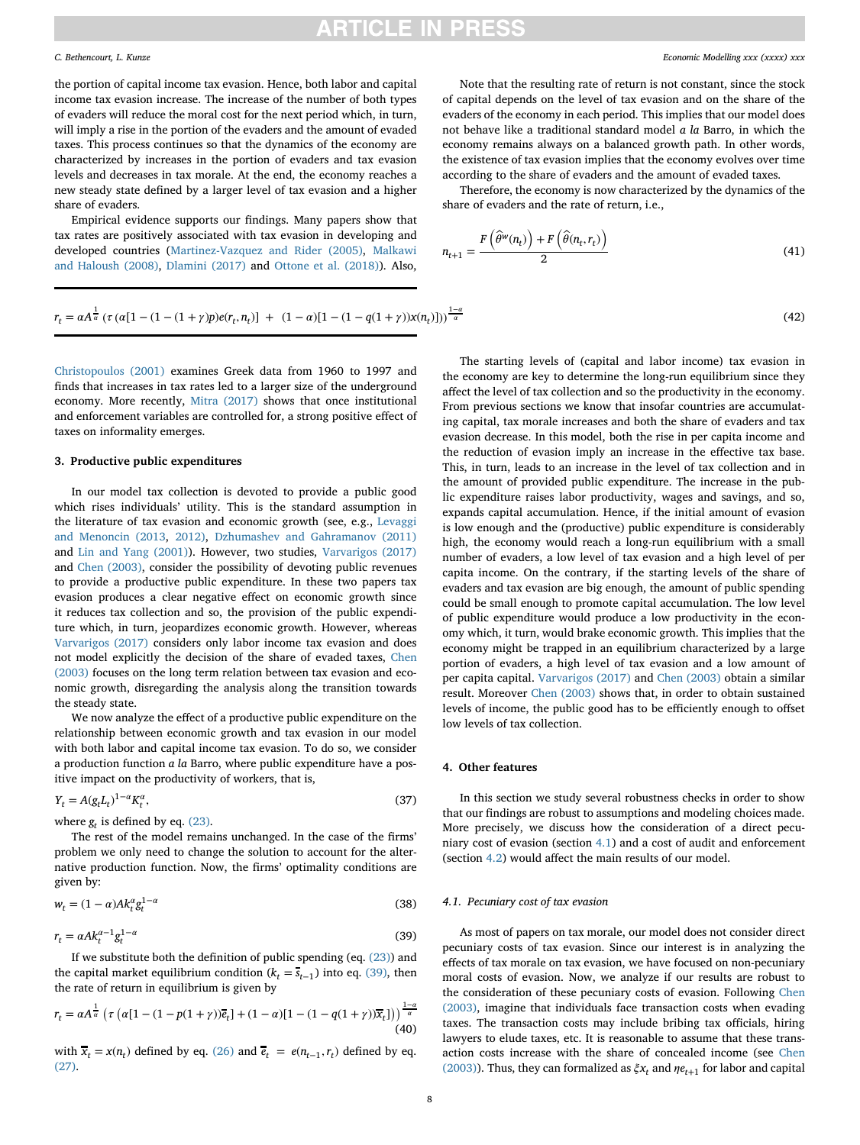the portion of capital income tax evasion. Hence, both labor and capital income tax evasion increase. The increase of the number of both types of evaders will reduce the moral cost for the next period which, in turn, will imply a rise in the portion of the evaders and the amount of evaded taxes. This process continues so that the dynamics of the economy are characterized by increases in the portion of evaders and tax evasion levels and decreases in tax morale. At the end, the economy reaches a new steady state defined by a larger level of tax evasion and a higher share of evaders.

Empirical evidence supports our findings. Many papers show that tax rates are positively associated with tax evasion in developing and [developed countries \(](#page-12-38)[Martinez-Vazquez and Rider \(2005\)](#page-12-37)[,](#page-12-38) Malkawi and Haloush (2008), [Dlamini \(2017\)](#page-12-39) and [Ottone et al. \(2018\)\)](#page-12-40). Also,

Note that the resulting rate of return is not constant, since the stock of capital depends on the level of tax evasion and on the share of the evaders of the economy in each period. This implies that our model does not behave like a traditional standard model *a la* Barro, in which the economy remains always on a balanced growth path. In other words, the existence of tax evasion implies that the economy evolves over time according to the share of evaders and the amount of evaded taxes.

Therefore, the economy is now characterized by the dynamics of the share of evaders and the rate of return, i.e.,

$$
n_{t+1} = \frac{F(\widehat{\theta}^w(n_t)) + F(\widehat{\theta}(n_t, r_t))}{2}
$$
\n(41)

 $\frac{a}{a}$  (42)

$$
r_t = \alpha A^{\frac{1}{\alpha}} \left( \tau \left( \alpha [1 - (1 - (1 + \gamma)p)e(r_t, n_t) \right) + (1 - \alpha)[1 - (1 - q(1 + \gamma))x(n_t)] \right) \right)^{\frac{1 - \alpha}{\alpha}}
$$

[Christopoulos \(2001\)](#page-12-41) examines Greek data from 1960 to 1997 and finds that increases in tax rates led to a larger size of the underground economy. More recently, [Mitra \(2017\)](#page-12-42) shows that once institutional and enforcement variables are controlled for, a strong positive effect of taxes on informality emerges.

### <span id="page-7-0"></span>**3. Productive public expenditures**

In our model tax collection is devoted to provide a public good which rises individuals' utility. This is the standard assumption in [the literature of tax evasion and economic growth \(see, e.g.,](#page-12-22) Levaggi and Menoncin (2013, [2012\),](#page-12-43) [Dzhumashev and Gahramanov \(2011\)](#page-12-24) and [Lin and Yang \(2001\)\)](#page-12-44). However, two studies, [Varvarigos \(2017\)](#page-12-8) and [Chen \(2003\),](#page-12-25) consider the possibility of devoting public revenues to provide a productive public expenditure. In these two papers tax evasion produces a clear negative effect on economic growth since it reduces tax collection and so, the provision of the public expenditure which, in turn, jeopardizes economic growth. However, whereas [Varvarigos \(2017\)](#page-12-8) considers only labor income tax evasion and does [not model explicitly the decision of the share of evaded taxes,](#page-12-25) Chen (2003) focuses on the long term relation between tax evasion and economic growth, disregarding the analysis along the transition towards the steady state.

We now analyze the effect of a productive public expenditure on the relationship between economic growth and tax evasion in our model with both labor and capital income tax evasion. To do so, we consider a production function *a la* Barro, where public expenditure have a positive impact on the productivity of workers, that is,

$$
Y_t = A(g_t L_t)^{1-\alpha} K_t^{\alpha},\tag{37}
$$

where  $g_t$  is defined by eq. [\(23\).](#page-4-4)

The rest of the model remains unchanged. In the case of the firms' problem we only need to change the solution to account for the alternative production function. Now, the firms' optimality conditions are given by:

<span id="page-7-2"></span>
$$
w_t = (1 - \alpha)Ak_t^{\alpha}g_t^{1 - \alpha}
$$
\n(38)

$$
r_t = \alpha A k_t^{\alpha - 1} g_t^{1 - \alpha} \tag{39}
$$

If we substitute both the definition of public spending (eq.  $(23)$ ) and the capital market equilibrium condition ( $k_t = \overline{s_{t-1}}$ ) into eq. [\(39\),](#page-7-2) then the rate of return in equilibrium is given by

$$
r_t = \alpha A^{\frac{1}{\alpha}} \left( \tau \left( \alpha [1 - (1 - p(1 + \gamma))\overline{e}_t \right] + (1 - \alpha)[1 - (1 - q(1 + \gamma))\overline{x}_t] \right) \right)^{\frac{1 - \alpha}{\alpha}}
$$
(40)

with  $\overline{x}_t = x(n_t)$  defined by eq. [\(26\)](#page-5-9) and  $\overline{e}_t = e(n_{t-1}, r_t)$  defined by eq. [\(27\).](#page-5-10)

The starting levels of (capital and labor income) tax evasion in the economy are key to determine the long-run equilibrium since they affect the level of tax collection and so the productivity in the economy. From previous sections we know that insofar countries are accumulating capital, tax morale increases and both the share of evaders and tax evasion decrease. In this model, both the rise in per capita income and the reduction of evasion imply an increase in the effective tax base. This, in turn, leads to an increase in the level of tax collection and in the amount of provided public expenditure. The increase in the public expenditure raises labor productivity, wages and savings, and so, expands capital accumulation. Hence, if the initial amount of evasion is low enough and the (productive) public expenditure is considerably high, the economy would reach a long-run equilibrium with a small number of evaders, a low level of tax evasion and a high level of per capita income. On the contrary, if the starting levels of the share of evaders and tax evasion are big enough, the amount of public spending could be small enough to promote capital accumulation. The low level of public expenditure would produce a low productivity in the economy which, it turn, would brake economic growth. This implies that the economy might be trapped in an equilibrium characterized by a large portion of evaders, a high level of tax evasion and a low amount of per capita capital. [Varvarigos \(2017\)](#page-12-8) and [Chen \(2003\)](#page-12-25) obtain a similar result. Moreover [Chen \(2003\)](#page-12-25) shows that, in order to obtain sustained levels of income, the public good has to be efficiently enough to offset low levels of tax collection.

### <span id="page-7-1"></span>**4. Other features**

In this section we study several robustness checks in order to show that our findings are robust to assumptions and modeling choices made. More precisely, we discuss how the consideration of a direct pecuniary cost of evasion (section [4.1\)](#page-7-3) and a cost of audit and enforcement (section [4.2\)](#page-8-1) would affect the main results of our model.

### <span id="page-7-3"></span>*4.1. Pecuniary cost of tax evasion*

As most of papers on tax morale, our model does not consider direct pecuniary costs of tax evasion. Since our interest is in analyzing the effects of tax morale on tax evasion, we have focused on non-pecuniary moral costs of evasion. Now, we analyze if our results are robust to the consideration of these pecuniary costs of evasion. Following Chen [\(2003\), imagine that individuals face transaction costs when evading](#page-12-25) taxes. The transaction costs may include bribing tax officials, hiring lawyers to elude taxes, etc. It is reasonable to assume that these transaction costs increase with the share of concealed income (see Chen [\(2003\)\). Thus, they can formalized as](#page-12-25)  $\xi x_t$  and  $\eta e_{t+1}$  for labor and capital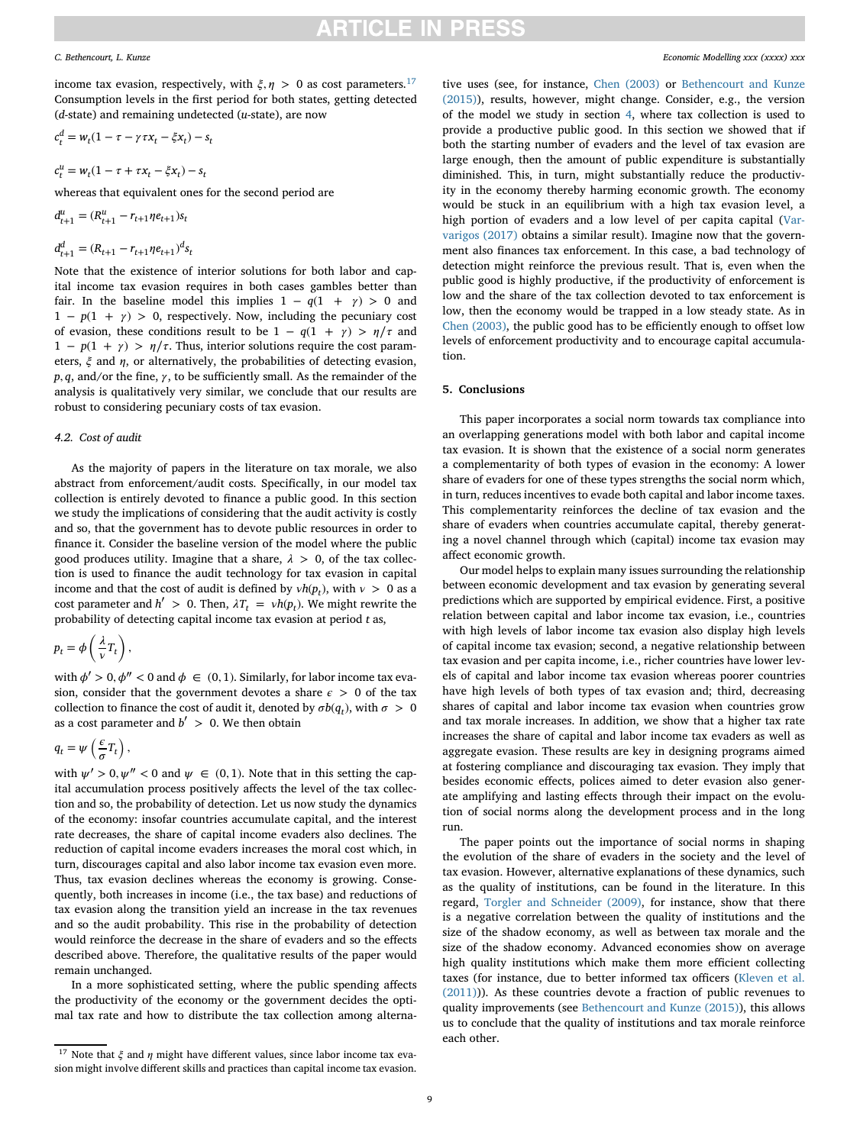income tax evasion, respectively, with  $\xi, \eta > 0$  as cost parameters.<sup>[17](#page-8-2)</sup> Consumption levels in the first period for both states, getting detected (*d*-state) and remaining undetected (*u*-state), are now

$$
c_t^d = w_t(1 - \tau - \gamma \tau x_t - \xi x_t) - s_t
$$

$$
c_t^u = w_t(1 - \tau + \tau x_t - \xi x_t) - s_t
$$

whereas that equivalent ones for the second period are

$$
d_{t+1}^u = (R_{t+1}^u - r_{t+1} \eta e_{t+1}) s_t
$$
  

$$
d_{t+1}^d = (R_{t+1} - r_{t+1} \eta e_{t+1})^d s_t
$$

Note that the existence of interior solutions for both labor and capital income tax evasion requires in both cases gambles better than fair. In the baseline model this implies  $1 - q(1 + \gamma) > 0$  and  $1 - p(1 + \gamma) > 0$ , respectively. Now, including the pecuniary cost of evasion, these conditions result to be  $1 - q(1 + \gamma) > \eta/\tau$  and  $1 - p(1 + \gamma) > \eta/\tau$ . Thus, interior solutions require the cost parameters,  $\xi$  and  $\eta$ , or alternatively, the probabilities of detecting evasion,  $p$ ,  $q$ , and/or the fine,  $\gamma$ , to be sufficiently small. As the remainder of the analysis is qualitatively very similar, we conclude that our results are robust to considering pecuniary costs of tax evasion.

## <span id="page-8-1"></span>*4.2. Cost of audit*

As the majority of papers in the literature on tax morale, we also abstract from enforcement/audit costs. Specifically, in our model tax collection is entirely devoted to finance a public good. In this section we study the implications of considering that the audit activity is costly and so, that the government has to devote public resources in order to finance it. Consider the baseline version of the model where the public good produces utility. Imagine that a share,  $\lambda > 0$ , of the tax collection is used to finance the audit technology for tax evasion in capital income and that the cost of audit is defined by  $vh(p_t)$ , with  $v > 0$  as a cost parameter and  $h' > 0$ . Then,  $\lambda T_t = v h(p_t)$ . We might rewrite the probability of detecting capital income tax evasion at period *t* as,

$$
p_t = \phi\left(\frac{\lambda}{\nu}T_t\right),\,
$$

with  $\phi' > 0$ ,  $\phi'' < 0$  and  $\phi \in (0, 1)$ . Similarly, for labor income tax evasion, consider that the government devotes a share  $\epsilon > 0$  of the tax collection to finance the cost of audit it, denoted by  $\sigma b(q_t)$ , with  $\sigma > 0$ as a cost parameter and  $b' > 0$ . We then obtain

$$
q_t = \psi\left(\frac{\epsilon}{\sigma}T_t\right),\,
$$

with  $\psi' > 0$ ,  $\psi'' < 0$  and  $\psi \in (0, 1)$ . Note that in this setting the capital accumulation process positively affects the level of the tax collection and so, the probability of detection. Let us now study the dynamics of the economy: insofar countries accumulate capital, and the interest rate decreases, the share of capital income evaders also declines. The reduction of capital income evaders increases the moral cost which, in turn, discourages capital and also labor income tax evasion even more. Thus, tax evasion declines whereas the economy is growing. Consequently, both increases in income (i.e., the tax base) and reductions of tax evasion along the transition yield an increase in the tax revenues and so the audit probability. This rise in the probability of detection would reinforce the decrease in the share of evaders and so the effects described above. Therefore, the qualitative results of the paper would remain unchanged.

In a more sophisticated setting, where the public spending affects the productivity of the economy or the government decides the optimal tax rate and how to distribute the tax collection among alternative uses (see, for instance, [Chen \(2003\)](#page-12-25) or Bethencourt and Kunze [\(2015\)\), results, however, might change. Consider, e.g., the version](#page-12-45) of the model we study in section [4,](#page-7-1) where tax collection is used to provide a productive public good. In this section we showed that if both the starting number of evaders and the level of tax evasion are large enough, then the amount of public expenditure is substantially diminished. This, in turn, might substantially reduce the productivity in the economy thereby harming economic growth. The economy would be stuck in an equilibrium with a high tax evasion level, a [high portion of evaders and a low level of per capita capital \(Var](#page-12-8)varigos (2017) obtains a similar result). Imagine now that the government also finances tax enforcement. In this case, a bad technology of detection might reinforce the previous result. That is, even when the public good is highly productive, if the productivity of enforcement is low and the share of the tax collection devoted to tax enforcement is low, then the economy would be trapped in a low steady state. As in [Chen \(2003\),](#page-12-25) the public good has to be efficiently enough to offset low levels of enforcement productivity and to encourage capital accumulation.

### <span id="page-8-0"></span>**5. Conclusions**

This paper incorporates a social norm towards tax compliance into an overlapping generations model with both labor and capital income tax evasion. It is shown that the existence of a social norm generates a complementarity of both types of evasion in the economy: A lower share of evaders for one of these types strengths the social norm which, in turn, reduces incentives to evade both capital and labor income taxes. This complementarity reinforces the decline of tax evasion and the share of evaders when countries accumulate capital, thereby generating a novel channel through which (capital) income tax evasion may affect economic growth.

Our model helps to explain many issues surrounding the relationship between economic development and tax evasion by generating several predictions which are supported by empirical evidence. First, a positive relation between capital and labor income tax evasion, i.e., countries with high levels of labor income tax evasion also display high levels of capital income tax evasion; second, a negative relationship between tax evasion and per capita income, i.e., richer countries have lower levels of capital and labor income tax evasion whereas poorer countries have high levels of both types of tax evasion and; third, decreasing shares of capital and labor income tax evasion when countries grow and tax morale increases. In addition, we show that a higher tax rate increases the share of capital and labor income tax evaders as well as aggregate evasion. These results are key in designing programs aimed at fostering compliance and discouraging tax evasion. They imply that besides economic effects, polices aimed to deter evasion also generate amplifying and lasting effects through their impact on the evolution of social norms along the development process and in the long run.

The paper points out the importance of social norms in shaping the evolution of the share of evaders in the society and the level of tax evasion. However, alternative explanations of these dynamics, such as the quality of institutions, can be found in the literature. In this regard, [Torgler and Schneider \(2009\),](#page-12-46) for instance, show that there is a negative correlation between the quality of institutions and the size of the shadow economy, as well as between tax morale and the size of the shadow economy. Advanced economies show on average high quality institutions which make them more efficient collecting taxes (for instance, due to better informed tax officers (Kleven et al. [\(2011\)\)\). As these countries devote a fraction of public revenues to](#page-12-47) quality improvements (see [Bethencourt and Kunze \(2015\)\)](#page-12-45), this allows us to conclude that the quality of institutions and tax morale reinforce each other.

<span id="page-8-2"></span><sup>&</sup>lt;sup>17</sup> Note that  $\xi$  and  $\eta$  might have different values, since labor income tax evasion might involve different skills and practices than capital income tax evasion.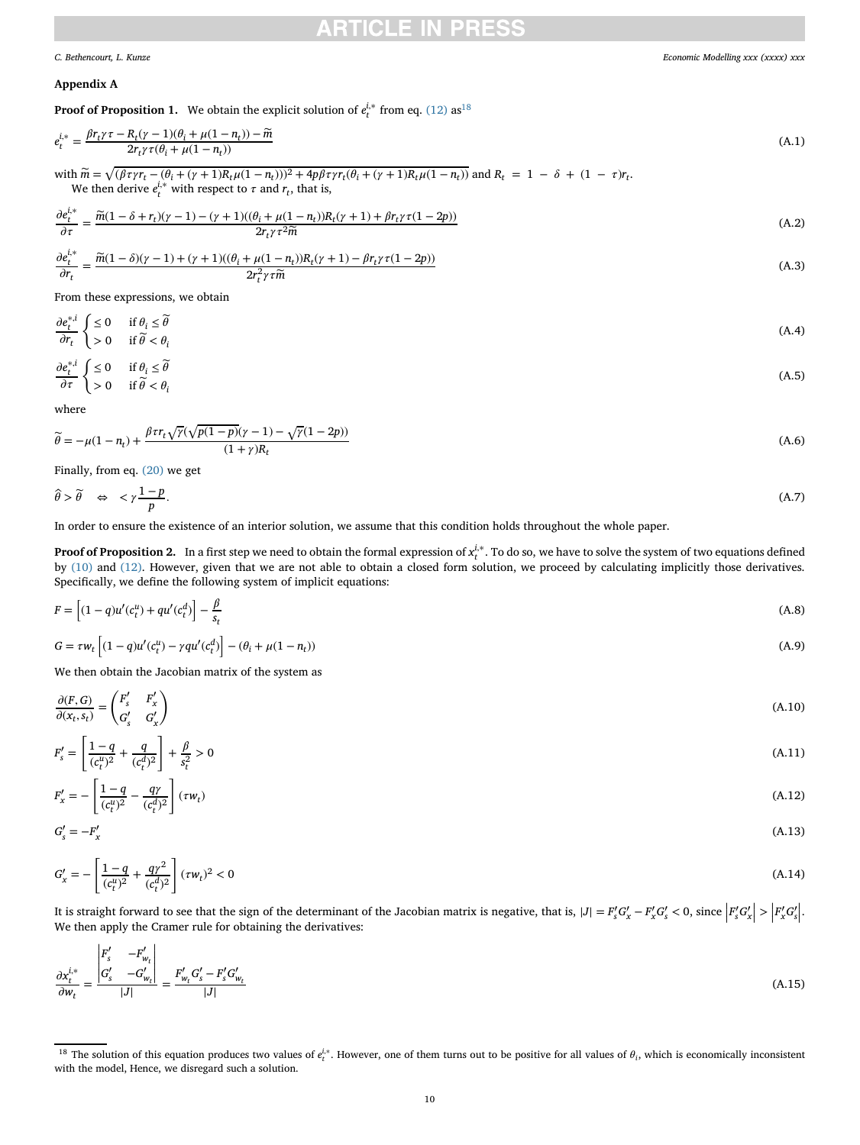## <span id="page-9-3"></span>CH E

## <span id="page-9-0"></span>**Appendix A**

**Proof of Proposition 1.** We obtain the explicit solution of  $e_t^{i,*}$  from eq. [\(12\)](#page-3-6) as<sup>18</sup>

$$
e_t^{i,*} = \frac{\beta r_t \gamma \tau - R_t (\gamma - 1)(\theta_i + \mu (1 - n_t)) - \widetilde{m}}{2r_t \gamma \tau (\theta_i + \mu (1 - n_t))}
$$
(A.1)

 $\sinh \widetilde{m} = \sqrt{(\beta \tau \gamma r_t - (\theta_i + (\gamma + 1)R_t \mu (1 - n_t)))^2 + 4p \beta \tau \gamma r_t (\theta_i + (\gamma + 1)R_t \mu (1 - n_t))}$  and  $R_t = 1 - \delta + (1 - \tau) r_t$ . We then derive  $e_t^{i,*}$  with respect to  $\tau$  and  $r_t$ , that is,

$$
\frac{\partial e_t^{i,*}}{\partial \tau} = \frac{\widetilde{m}(1 - \delta + r_t)(\gamma - 1) - (\gamma + 1)((\theta_i + \mu(1 - n_t))R_t(\gamma + 1) + \beta r_t \gamma \tau (1 - 2p))}{2r_t \gamma \tau^2 \widetilde{m}}
$$
\n(A.2)

$$
\frac{\partial e_t^{j,*}}{\partial r_t} = \frac{\widetilde{m}(1-\delta)(\gamma-1) + (\gamma+1)((\theta_i + \mu(1-n_t))R_t(\gamma+1) - \beta r_t \gamma \tau (1-2p))}{2r_t^2 \gamma \tau \widetilde{m}}
$$
(A.3)

From these expressions, we obtain

$$
\frac{\partial e_t^{*,i}}{\partial r_t} \begin{cases} \leq 0 & \text{if } \theta_i \leq \widetilde{\theta} \\ > 0 & \text{if } \widetilde{\theta} < \theta_i \end{cases} \tag{A.4}
$$

$$
\frac{\partial e_t^{*,i}}{\partial \tau} \begin{cases} \leq 0 & \text{if } \theta_i \leq \widetilde{\theta} \\ > 0 & \text{if } \widetilde{\theta} < \theta_i \end{cases} \tag{A.5}
$$

where

$$
\widetilde{\theta} = -\mu(1 - n_t) + \frac{\beta \tau r_t \sqrt{\gamma} (\sqrt{p(1 - p)} (\gamma - 1) - \sqrt{\gamma} (1 - 2p))}{(1 + \gamma) R_t} \tag{A.6}
$$

Finally, from eq. [\(20\)](#page-3-12) we get

$$
\hat{\theta} > \tilde{\theta} \quad \Leftrightarrow \quad < \gamma \frac{1-p}{p}.\tag{A.7}
$$

In order to ensure the existence of an interior solution, we assume that this condition holds throughout the whole paper.

<span id="page-9-2"></span>**Proof of Proposition 2.** In a first step we need to obtain the formal expression of  $x_t^{i,*}$ . To do so, we have to solve the system of two equations defined by [\(10\)](#page-3-2) and [\(12\).](#page-3-6) However, given that we are not able to obtain a closed form solution, we proceed by calculating implicitly those derivatives. Specifically, we define the following system of implicit equations:

$$
F = \left[ (1 - q)u'(c_t^u) + qu'(c_t^d) \right] - \frac{\beta}{s_t}
$$
\n(A.8)

$$
G = \tau w_t \left[ (1 - q)u'(c_t^u) - \gamma q u'(c_t^d) \right] - (\theta_i + \mu(1 - n_t)) \tag{A.9}
$$

We then obtain the Jacobian matrix of the system as

$$
\frac{\partial(F,G)}{\partial(x_t, s_t)} = \begin{pmatrix} F'_s & F'_x \\ G'_s & G'_x \end{pmatrix}
$$
\n(A.10)

$$
F'_{s} = \left[\frac{1-q}{(c_t^u)^2} + \frac{q}{(c_t^d)^2}\right] + \frac{\beta}{s_t^2} > 0\tag{A.11}
$$

$$
F'_{x} = -\left[\frac{1-q}{(c_t^u)^2} - \frac{q\gamma}{(c_t^d)^2}\right](\tau w_t)
$$
\n(A.12)

$$
G'_{s} = -F'_{x} \tag{A.13}
$$

$$
G'_x = -\left[\frac{1-q}{(c_t^u)^2} + \frac{q\gamma^2}{(c_t^d)^2}\right](\tau w_t)^2 < 0\tag{A.14}
$$

It is straight forward to see that the sign of the determinant of the Jacobian matrix is negative, that is,  $|J| = F_s' G_x' - F_x' G_s' < 0$ , since  $\left|F_s' G_x'\right| > \left|F_x' G_s'\right|.$  We then apply the Cramer rule for obtaining the derivativ | | | We then apply the Cramer rule for obtaining the derivatives:

$$
\frac{\partial x_t^{i,*}}{\partial w_t} = \frac{\begin{vmatrix} F_s' & -F_{w_t}' \\ G_s' & -G_{w_t}' \end{vmatrix}}{|J|} = \frac{F_{w_t}' G_s' - F_s' G_{w_t}'}{|J|}
$$
\n(A.15)

<span id="page-9-1"></span><sup>&</sup>lt;sup>18</sup> The solution of this equation produces two values of  $e_t^{i,*}$ . However, one of them turns out to be positive for all values of  $\theta_i$ , which is economically inconsistent with the model, Hence, we disregard such a solution.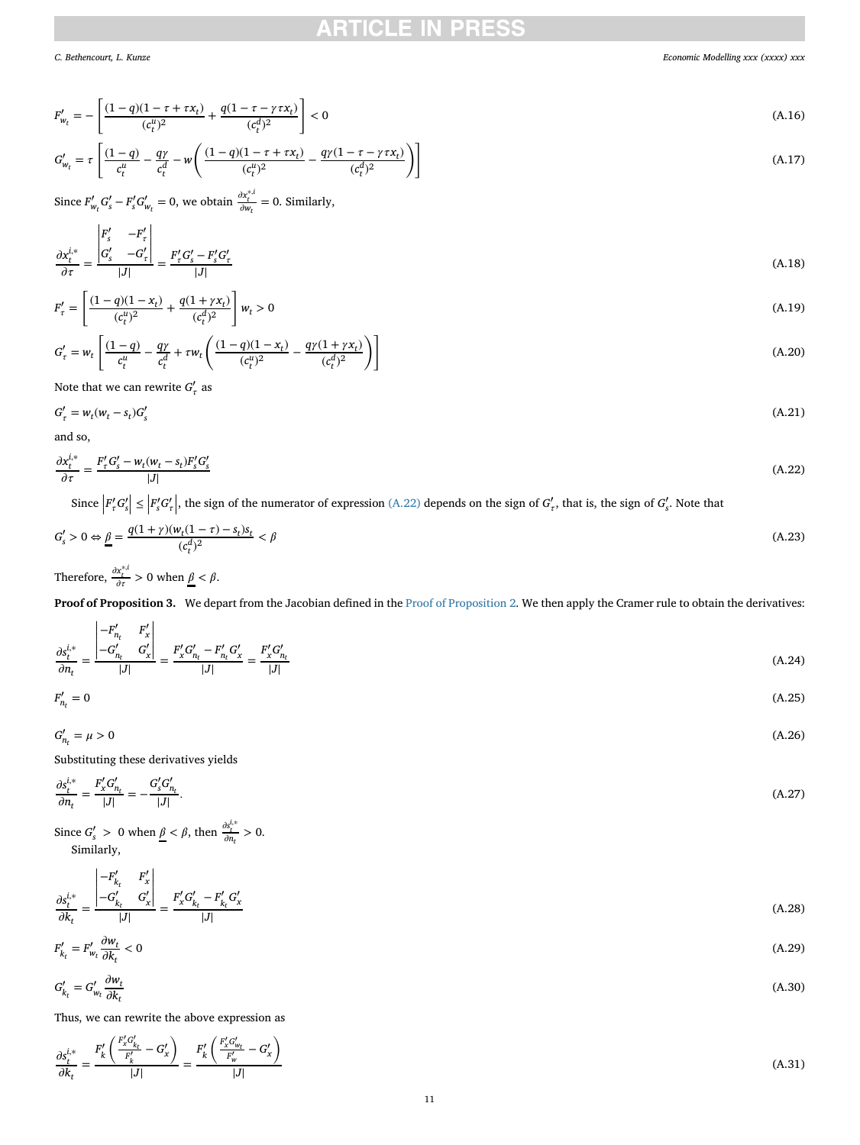## RTICI E IN

*C. Bethencourt, L. Kunze Economic Modelling xxx (xxxx) xxx*

$$
F'_{w_t} = -\left[\frac{(1-q)(1-\tau+\tau x_t)}{(c_t^u)^2} + \frac{q(1-\tau-\gamma\tau x_t)}{(c_t^d)^2}\right] < 0
$$
\n(A.16)

$$
G'_{w_t} = \tau \left[ \frac{(1-q)}{c_t^u} - \frac{q\gamma}{c_t^d} - w \left( \frac{(1-q)(1-\tau+\tau x_t)}{(c_t^u)^2} - \frac{q\gamma(1-\tau-\gamma\tau x_t)}{(c_t^d)^2} \right) \right]
$$
(A.17)

Since  $F'_{w_t} G'_{s} - F'_{s} G'_{w_t} = 0$ , we obtain  $\frac{\partial x_t^{*,i}}{\partial w_t} = 0$ . Similarly,

$$
\frac{\partial x_t^{i,*}}{\partial \tau} = \frac{\begin{vmatrix} F_s' & -F_\tau' \\ G_s' & -G_\tau' \end{vmatrix}}{|J|} = \frac{F_\tau' G_s' - F_s' G_\tau'}{|J|} \tag{A.18}
$$

$$
F'_{\tau} = \left[ \frac{(1-q)(1-x_t)}{(c_t^{\mu})^2} + \frac{q(1+\gamma x_t)}{(c_t^{\mu})^2} \right] w_t > 0
$$
\n(A.19)

$$
G'_{\tau} = w_t \left[ \frac{(1-q)}{c_t^u} - \frac{q\gamma}{c_t^d} + \tau w_t \left( \frac{(1-q)(1-x_t)}{(c_t^u)^2} - \frac{q\gamma(1+\gamma x_t)}{(c_t^d)^2} \right) \right]
$$
(A.20)

Note that we can rewrite  $G'_{\tau}$  as

$$
G'_{\tau} = w_t (w_t - s_t) G'_{s} \tag{A.21}
$$

and so,

<span id="page-10-0"></span>
$$
\frac{\partial x_t^{i,*}}{\partial \tau} = \frac{F'_\tau G'_s - w_t (w_t - s_t) F'_s G'_s}{|J|} \tag{A.22}
$$

Since  $\left| F'_\tau G'_s \right| \le \left| F'_s G'_\tau \right|$ , the sign of the numerator of expression [\(A.22\)](#page-10-0) depends on the sign of  $G'_\tau$ , that is, the sign of  $G'_s$ . Note that

$$
G'_{s} > 0 \Leftrightarrow \underline{\beta} = \frac{q(1+\gamma)(w_{t}(1-\tau)-s_{t})s_{t}}{(c_{t}^{d})^{2}} < \beta
$$
\n(A.23)

Therefore,  $\frac{\partial x_t^{*,i}}{\partial \tau} > 0$  when  $\underline{\beta} < \beta$ .

**Proof of Proposition 3.** We depart from the Jacobian defined in the [Proof of Proposition 2.](#page-9-2) We then apply the Cramer rule to obtain the derivatives:

$$
\frac{\partial s_t^{i,*}}{\partial n_t} = \frac{\begin{vmatrix} -F'_{n_t} & F'_x \\ -G'_{n_t} & G'_x \end{vmatrix}}{|J|} = \frac{F'_x G'_{n_t} - F'_{n_t} G'_x}{|J|} = \frac{F'_x G'_{n_t}}{|J|}
$$
\n(A.24)\n
$$
F'_{n_t} = 0
$$
\n(A.25)

$$
F'_{n_t} = 0 \tag{A.25}
$$

$$
G'_{n_t} = \mu > 0 \tag{A.26}
$$

Substituting these derivatives yields

*nt <sup>F</sup>*′

$$
\frac{\partial s_t^{i,*}}{\partial n_t} = \frac{F'_x G'_{n_t}}{|J|} = -\frac{G'_s G'_{n_t}}{|J|}.\tag{A.27}
$$

Since  $G'_{s} > 0$  when  $\underline{\beta} < \beta$ , then  $\frac{\partial s_t^{i,*}}{\partial n_t} > 0$ . Similarly,

$$
\frac{\partial s_t^{i,*}}{\partial k_t} = \frac{\begin{vmatrix} -F'_{k_t} & F'_x \\ -G'_{k_t} & G'_x \end{vmatrix}}{|J|} = \frac{F'_x G'_{k_t} - F'_{k_t} G'_x}{|J|} \tag{A.28}
$$

$$
F'_{k_t} = F'_{w_t} \frac{\partial w_t}{\partial k_t} < 0 \tag{A.29}
$$

$$
G'_{k_t} = G'_{w_t} \frac{\partial w_t}{\partial k_t} \tag{A.30}
$$

Thus, we can rewrite the above expression as

$$
\frac{\partial s_t^{i,*}}{\partial k_t} = \frac{F_k' \left( \frac{F_x' C_{k_t}'}{F_k'} - G_x' \right)}{|J|} = \frac{F_k' \left( \frac{F_x' C_{w_t}'}{F_w'} - G_x' \right)}{|J|}
$$
\n(A.31)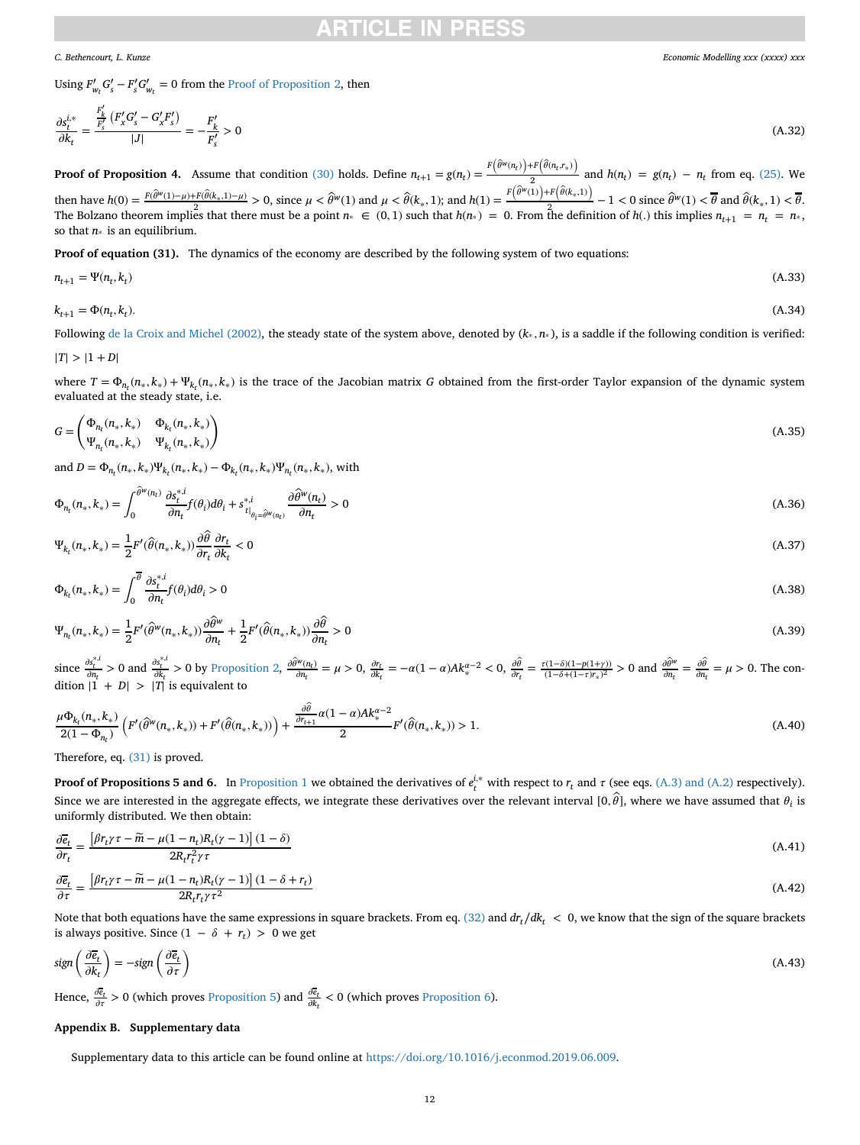## CI E

*C. Bethencourt, L. Kunze Economic Modelling xxx (xxxx) xxx*

Using  $F'_{w_t} G'_{s} - F'_{s} G'_{w_t} = 0$  from the [Proof of Proposition 2,](#page-9-2) then

$$
\frac{\partial s_t^{i,*}}{\partial k_t} = \frac{\frac{F'_k}{F'_s} \left( F'_x G'_s - G'_x F'_s \right)}{|J|} = -\frac{F'_k}{F'_s} > 0 \tag{A.32}
$$

**Proof of Proposition 4.** Assume that condition [\(30\)](#page-5-11) holds. Define  $n_{t+1} = g(n_t) = \frac{F(\hat{\theta}^w(n_t)) + F(\hat{\theta}(n_t, r_*))}{2}$  and  $h(n_t) = g(n_t) - n_t$  from eq. [\(25\).](#page-5-4) We then have  $h(0) = \frac{F(\hat{\theta}^w(1)-\mu)+F(\hat{\theta}(k_*,1)-\mu)}{2} > 0$ , since  $\mu < \hat{\theta}^w(1)$  and  $\mu < \hat{\theta}(k_*,1)$ ; and  $h(1) = \frac{F(\hat{\theta}^w(1)+F(\hat{\theta}(k_*,1))}{2} - 1 < 0$  since  $\hat{\theta}^w(1) < \theta$  and  $\hat{\theta}(k_*,1) < \theta$ . The Bolzano theorem implies that there must be a point  $n_* \in (0,1)$  such that  $h(n_*) = 0$ . From the definition of  $h(.)$  this implies  $n_{t+1} = n_t = n_*$ , so that *n*<sup>∗</sup> is an equilibrium.

**Proof of equation (31).** The dynamics of the economy are described by the following system of two equations:

$$
n_{t+1} = \Psi(n_t, k_t) \tag{A.33}
$$

 $k_{t+1} = \Phi(n_t, k_t).$  (A.34)

Following [de la Croix and Michel \(2002\),](#page-12-48) the steady state of the system above, denoted by (*k*<sup>∗</sup> *, n*<sup>∗</sup> ), is a saddle if the following condition is verified:

$$
|T|>|1+D|
$$

where  $T = \Phi_{n_t}(n_*, k_*) + \Psi_{k_t}(n_*, k_*)$  is the trace of the Jacobian matrix *G* obtained from the first-order Taylor expansion of the dynamic system evaluated at the steady state, i.e.

$$
G = \begin{pmatrix} \Phi_{n_t}(n_*, k_*) & \Phi_{k_t}(n_*, k_*) \\ \Psi_{n_t}(n_*, k_*) & \Psi_{k_t}(n_*, k_*) \end{pmatrix}
$$
 (A.35)

and  $D = \Phi_{n_t}(n_*, k_*) \Psi_{k_t}(n_*, k_*) - \Phi_{k_t}(n_*, k_*) \Psi_{n_t}(n_*, k_*),$  with

$$
\Phi_{n_t}(n_*,k_*) = \int_0^{\widehat{\theta}^w(n_t)} \frac{\partial s_t^{*,i}}{\partial n_t} f(\theta_i) d\theta_i + s_{t|_{\theta_t = \widehat{\theta}^w(n_t)}}^{*,i} \frac{\partial \widehat{\theta}^w(n_t)}{\partial n_t} > 0
$$
\n(A.36)

$$
\Psi_{k_t}(n_*,k_*) = \frac{1}{2} F'(\widehat{\theta}(n_*,k_*)) \frac{\partial \widehat{\theta}}{\partial r_t} \frac{\partial r_t}{\partial k_t} < 0 \tag{A.37}
$$

$$
\Phi_{k_t}(n_*,k_*) = \int_0^{\overline{\theta}} \frac{\partial s_t^{*,i}}{\partial n_t} f(\theta_i) d\theta_i > 0
$$
\n(A.38)

$$
\Psi_{n_t}(n_*,k_*) = \frac{1}{2} F'(\widehat{\theta}^w(n_*,k_*)) \frac{\partial \widehat{\theta}^w}{\partial n_t} + \frac{1}{2} F'(\widehat{\theta}(n_*,k_*)) \frac{\partial \widehat{\theta}}{\partial n_t} > 0
$$
\n(A.39)

since  $\frac{\partial s_t^{*i}}{\partial n_t} > 0$  and  $\frac{\partial s_t^{*i}}{\partial k_t} > 0$  by [Proposition 2,](#page-4-3)  $\frac{\partial \hat{\theta}^w(n_t)}{\partial n_t} = \mu > 0$ ,  $\frac{\partial r_t}{\partial k_t} = -\alpha (1 - \alpha) Ak_*^{\alpha - 2} < 0$ ,  $\frac{\partial \hat{\theta}^w(n_t)}{\partial r_t} = \frac{\partial r_t}{\partial k_t} = -\alpha (1 - \alpha)Ak_*^{\alpha - 2}$  $\frac{\partial \hat{\theta}}{\partial r_t} = \frac{\tau(1-\delta)(1-p(1+\gamma))}{(1-\delta+(1-\tau)r_*)^2} > 0$  and  $\frac{\partial \hat{\theta}^w}{\partial n_t}$  $\frac{\partial \widehat{\theta}^w}{\partial n_t} = \frac{\partial \widehat{\theta}}{\partial n_t}$  $\frac{\partial \theta}{\partial n_t} = \mu > 0$ . The condition  $|1 + D| > |T|$  is equivalent to

$$
\frac{\mu \Phi_{k_t}(n_*,k_*)}{2(1-\Phi_{n_t})} \left( F'(\hat{\theta}^w(n_*,k_*)) + F'(\hat{\theta}(n_*,k_*)) \right) + \frac{\frac{\partial \hat{\theta}}{\partial r_{t+1}} \alpha(1-\alpha) Ak_*^{\alpha-2}}{2} F'(\hat{\theta}(n_*,k_*)) > 1.
$$
\n(A.40)

Therefore, eq. [\(31\)](#page-5-12) is proved.

**Proof of Propositions 5 and 6.** In [Proposition 1](#page-3-11) we obtained the derivatives of  $e_t^{i,*}$  with respect to  $r_t$  and  $\tau$  (see eqs. [\(A.3\) and \(A.2\)](#page-9-3) respectively). Since we are interested in the aggregate effects, we integrate these derivatives over the relevant interval [0,  $\widehat\theta$ ], where we have assumed that  $\theta_i$  is uniformly distributed. We then obtain:

$$
\frac{\partial \overline{e}_t}{\partial r_t} = \frac{\left[\beta r_t \gamma \tau - \widetilde{m} - \mu (1 - n_t) R_t (\gamma - 1)\right] (1 - \delta)}{2 R_t r_t^2 \gamma \tau}
$$
\n(A.41)

$$
\frac{\partial \overline{e}_t}{\partial \tau} = \frac{\left[\beta r_t \gamma \tau - \widetilde{m} - \mu (1 - n_t) R_t (\gamma - 1)\right] (1 - \delta + r_t)}{2 R_t r_t \gamma \tau^2}
$$
\n(A.42)

Note that both equations have the same expressions in square brackets. From eq. [\(32\)](#page-5-13) and  $dr_t/dk_t < 0$ , we know that the sign of the square brackets is always positive. Since  $(1 − δ + r_t) > 0$  we get

$$
sign\left(\frac{\partial \overline{e}_t}{\partial k_t}\right) = -sign\left(\frac{\partial \overline{e}_t}{\partial \tau}\right) \tag{A.43}
$$

Hence,  $\frac{\partial \bar{e}_t}{\partial r} > 0$  (which proves [Proposition 5\)](#page-5-8) and  $\frac{\partial \bar{e}_t}{\partial k_t} < 0$  (which proves [Proposition 6\)](#page-6-0).

## **Appendix B. Supplementary data**

Supplementary data to this article can be found online at [https://doi.org/10.1016/j.econmod.2019.06.009.](https://doi.org/10.1016/j.econmod.2019.06.009)